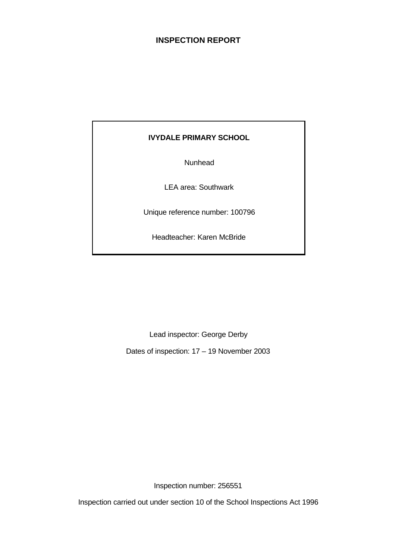# **INSPECTION REPORT**

# **IVYDALE PRIMARY SCHOOL**

Nunhead

LEA area: Southwark

Unique reference number: 100796

Headteacher: Karen McBride

Lead inspector: George Derby

Dates of inspection: 17 – 19 November 2003

Inspection number: 256551

Inspection carried out under section 10 of the School Inspections Act 1996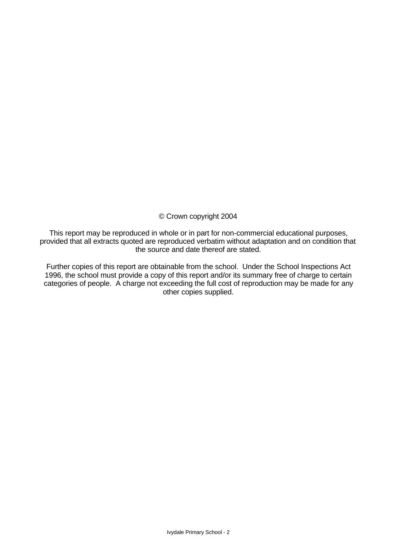# © Crown copyright 2004

This report may be reproduced in whole or in part for non-commercial educational purposes, provided that all extracts quoted are reproduced verbatim without adaptation and on condition that the source and date thereof are stated.

Further copies of this report are obtainable from the school. Under the School Inspections Act 1996, the school must provide a copy of this report and/or its summary free of charge to certain categories of people. A charge not exceeding the full cost of reproduction may be made for any other copies supplied.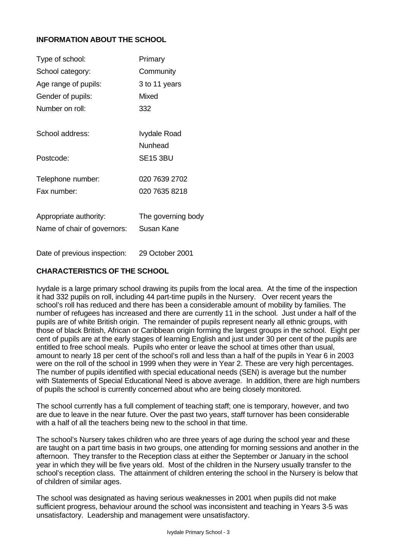# **INFORMATION ABOUT THE SCHOOL**

| Primary            |
|--------------------|
| Community          |
| 3 to 11 years      |
| Mixed              |
| 332                |
|                    |
| Ivydale Road       |
| Nunhead            |
| <b>SE15 3BU</b>    |
|                    |
| 020 7639 2702      |
| 020 7635 8218      |
|                    |
| The governing body |
| Susan Kane         |
|                    |
|                    |

Date of previous inspection: 29 October 2001

# **CHARACTERISTICS OF THE SCHOOL**

Ivydale is a large primary school drawing its pupils from the local area. At the time of the inspection it had 332 pupils on roll, including 44 part-time pupils in the Nursery. Over recent years the school's roll has reduced and there has been a considerable amount of mobility by families. The number of refugees has increased and there are currently 11 in the school. Just under a half of the pupils are of white British origin. The remainder of pupils represent nearly all ethnic groups, with those of black British, African or Caribbean origin forming the largest groups in the school. Eight per cent of pupils are at the early stages of learning English and just under 30 per cent of the pupils are entitled to free school meals. Pupils who enter or leave the school at times other than usual, amount to nearly 18 per cent of the school's roll and less than a half of the pupils in Year 6 in 2003 were on the roll of the school in 1999 when they were in Year 2. These are very high percentages. The number of pupils identified with special educational needs (SEN) is average but the number with Statements of Special Educational Need is above average. In addition, there are high numbers of pupils the school is currently concerned about who are being closely monitored.

The school currently has a full complement of teaching staff; one is temporary, however, and two are due to leave in the near future. Over the past two years, staff turnover has been considerable with a half of all the teachers being new to the school in that time.

The school's Nursery takes children who are three years of age during the school year and these are taught on a part time basis in two groups, one attending for morning sessions and another in the afternoon. They transfer to the Reception class at either the September or January in the school year in which they will be five years old. Most of the children in the Nursery usually transfer to the school's reception class. The attainment of children entering the school in the Nursery is below that of children of similar ages.

The school was designated as having serious weaknesses in 2001 when pupils did not make sufficient progress, behaviour around the school was inconsistent and teaching in Years 3-5 was unsatisfactory. Leadership and management were unsatisfactory.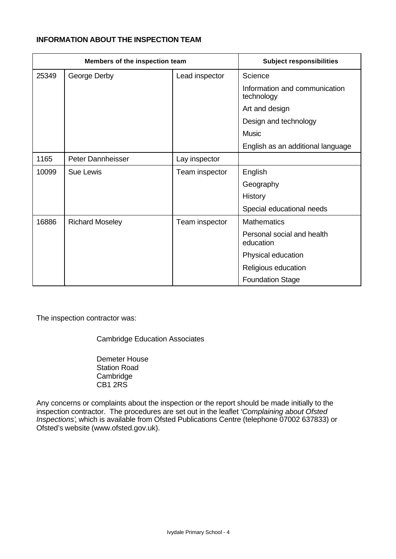## **INFORMATION ABOUT THE INSPECTION TEAM**

|       | Members of the inspection team | <b>Subject responsibilities</b> |                                             |
|-------|--------------------------------|---------------------------------|---------------------------------------------|
| 25349 | George Derby                   | Lead inspector                  | Science                                     |
|       |                                |                                 | Information and communication<br>technology |
|       |                                |                                 | Art and design                              |
|       |                                |                                 | Design and technology                       |
|       |                                |                                 | <b>Music</b>                                |
|       |                                |                                 | English as an additional language           |
| 1165  | Peter Dannheisser              | Lay inspector                   |                                             |
| 10099 | <b>Sue Lewis</b>               | Team inspector                  | English                                     |
|       |                                |                                 | Geography                                   |
|       |                                |                                 | History                                     |
|       |                                |                                 | Special educational needs                   |
| 16886 | <b>Richard Moseley</b>         | Team inspector                  | <b>Mathematics</b>                          |
|       |                                |                                 | Personal social and health<br>education     |
|       |                                |                                 | Physical education                          |
|       |                                |                                 | Religious education                         |
|       |                                |                                 | <b>Foundation Stage</b>                     |

The inspection contractor was:

Cambridge Education Associates

Demeter House Station Road **Cambridge** CB1 2RS

Any concerns or complaints about the inspection or the report should be made initially to the inspection contractor. The procedures are set out in the leaflet *'Complaining about Ofsted Inspections'*, which is available from Ofsted Publications Centre (telephone 07002 637833) or Ofsted's website (www.ofsted.gov.uk).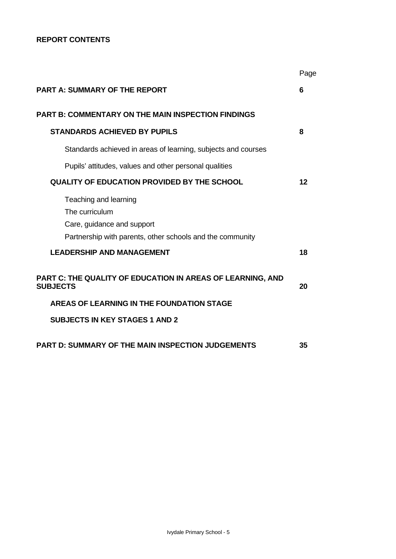# **REPORT CONTENTS**

|                                                                                                                                    | Page |
|------------------------------------------------------------------------------------------------------------------------------------|------|
| <b>PART A: SUMMARY OF THE REPORT</b>                                                                                               | 6    |
| <b>PART B: COMMENTARY ON THE MAIN INSPECTION FINDINGS</b>                                                                          |      |
| <b>STANDARDS ACHIEVED BY PUPILS</b>                                                                                                | 8    |
| Standards achieved in areas of learning, subjects and courses                                                                      |      |
| Pupils' attitudes, values and other personal qualities                                                                             |      |
| <b>QUALITY OF EDUCATION PROVIDED BY THE SCHOOL</b>                                                                                 | 12   |
| Teaching and learning<br>The curriculum<br>Care, guidance and support<br>Partnership with parents, other schools and the community |      |
| <b>LEADERSHIP AND MANAGEMENT</b>                                                                                                   | 18   |
| PART C: THE QUALITY OF EDUCATION IN AREAS OF LEARNING, AND<br><b>SUBJECTS</b>                                                      | 20   |
| AREAS OF LEARNING IN THE FOUNDATION STAGE                                                                                          |      |
| <b>SUBJECTS IN KEY STAGES 1 AND 2</b>                                                                                              |      |
| <b>PART D: SUMMARY OF THE MAIN INSPECTION JUDGEMENTS</b>                                                                           | 35   |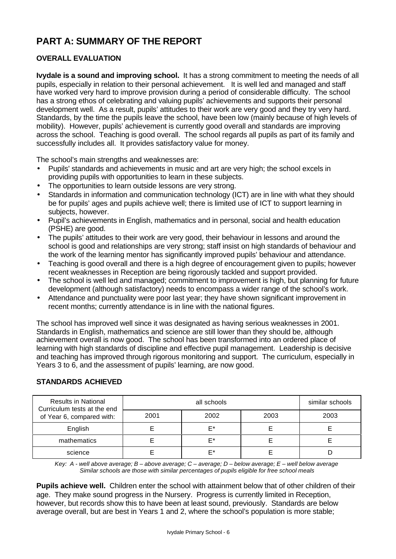# **PART A: SUMMARY OF THE REPORT**

# **OVERALL EVALUATION**

**Ivydale is a sound and improving school.** It has a strong commitment to meeting the needs of all pupils, especially in relation to their personal achievement. It is well led and managed and staff have worked very hard to improve provision during a period of considerable difficulty. The school has a strong ethos of celebrating and valuing pupils' achievements and supports their personal development well. As a result, pupils' attitudes to their work are very good and they try very hard. Standards, by the time the pupils leave the school, have been low (mainly because of high levels of mobility). However, pupils' achievement is currently good overall and standards are improving across the school. Teaching is good overall. The school regards all pupils as part of its family and successfully includes all. It provides satisfactory value for money.

The school's main strengths and weaknesses are:

- Pupils' standards and achievements in music and art are very high; the school excels in providing pupils with opportunities to learn in these subjects.
- The opportunities to learn outside lessons are very strong.
- Standards in information and communication technology (ICT) are in line with what they should be for pupils' ages and pupils achieve well; there is limited use of ICT to support learning in subjects, however.
- Pupil's achievements in English, mathematics and in personal, social and health education (PSHE) are good.
- The pupils' attitudes to their work are very good, their behaviour in lessons and around the school is good and relationships are very strong; staff insist on high standards of behaviour and the work of the learning mentor has significantly improved pupils' behaviour and attendance.
- Teaching is good overall and there is a high degree of encouragement given to pupils; however recent weaknesses in Reception are being rigorously tackled and support provided.
- The school is well led and managed; commitment to improvement is high, but planning for future development (although satisfactory) needs to encompass a wider range of the school's work.
- Attendance and punctuality were poor last year; they have shown significant improvement in recent months; currently attendance is in line with the national figures.

The school has improved well since it was designated as having serious weaknesses in 2001. Standards in English, mathematics and science are still lower than they should be, although achievement overall is now good. The school has been transformed into an ordered place of learning with high standards of discipline and effective pupil management. Leadership is decisive and teaching has improved through rigorous monitoring and support. The curriculum, especially in Years 3 to 6, and the assessment of pupils' learning, are now good.

# **STANDARDS ACHIEVED**

| <b>Results in National</b><br>Curriculum tests at the end |      | all schools |      | similar schools |
|-----------------------------------------------------------|------|-------------|------|-----------------|
| of Year 6, compared with:                                 | 2001 | 2002        | 2003 | 2003            |
| English                                                   |      | F*          |      |                 |
| mathematics                                               |      | F*          |      |                 |
| science                                                   |      | F*          |      |                 |

*Key: A - well above average; B – above average; C – average; D – below average; E – well below average Similar schools are those with similar percentages of pupils eligible for free school meals*

**Pupils achieve well.** Children enter the school with attainment below that of other children of their age. They make sound progress in the Nursery. Progress is currently limited in Reception, however, but records show this to have been at least sound, previously. Standards are below average overall, but are best in Years 1 and 2, where the school's population is more stable;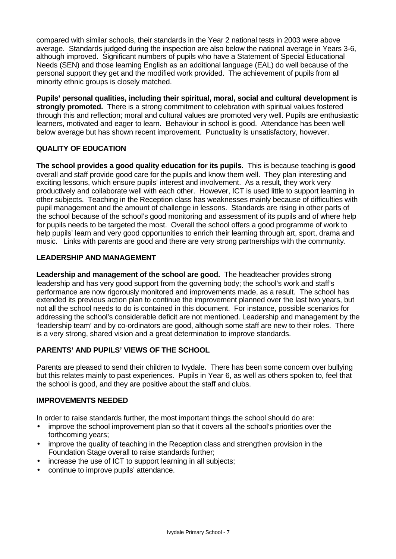compared with similar schools, their standards in the Year 2 national tests in 2003 were above average. Standards judged during the inspection are also below the national average in Years 3-6, although improved. Significant numbers of pupils who have a Statement of Special Educational Needs (SEN) and those learning English as an additional language (EAL) do well because of the personal support they get and the modified work provided. The achievement of pupils from all minority ethnic groups is closely matched.

**Pupils' personal qualities, including their spiritual, moral, social and cultural development is strongly promoted.** There is a strong commitment to celebration with spiritual values fostered through this and reflection; moral and cultural values are promoted very well. Pupils are enthusiastic learners, motivated and eager to learn. Behaviour in school is good. Attendance has been well below average but has shown recent improvement. Punctuality is unsatisfactory, however.

# **QUALITY OF EDUCATION**

**The school provides a good quality education for its pupils.** This is because teaching is **good** overall and staff provide good care for the pupils and know them well. They plan interesting and exciting lessons, which ensure pupils' interest and involvement. As a result, they work very productively and collaborate well with each other. However, ICT is used little to support learning in other subjects. Teaching in the Reception class has weaknesses mainly because of difficulties with pupil management and the amount of challenge in lessons. Standards are rising in other parts of the school because of the school's good monitoring and assessment of its pupils and of where help for pupils needs to be targeted the most. Overall the school offers a good programme of work to help pupils' learn and very good opportunities to enrich their learning through art, sport, drama and music. Links with parents are good and there are very strong partnerships with the community.

# **LEADERSHIP AND MANAGEMENT**

**Leadership and management of the school are good.** The headteacher provides strong leadership and has very good support from the governing body; the school's work and staff's performance are now rigorously monitored and improvements made, as a result. The school has extended its previous action plan to continue the improvement planned over the last two years, but not all the school needs to do is contained in this document. For instance, possible scenarios for addressing the school's considerable deficit are not mentioned. Leadership and management by the 'leadership team' and by co-ordinators are good, although some staff are new to their roles. There is a very strong, shared vision and a great determination to improve standards.

# **PARENTS' AND PUPILS' VIEWS OF THE SCHOOL**

Parents are pleased to send their children to Ivydale. There has been some concern over bullying but this relates mainly to past experiences. Pupils in Year 6, as well as others spoken to, feel that the school is good, and they are positive about the staff and clubs.

# **IMPROVEMENTS NEEDED**

In order to raise standards further, the most important things the school should do are:

- improve the school improvement plan so that it covers all the school's priorities over the forthcoming years;
- improve the quality of teaching in the Reception class and strengthen provision in the Foundation Stage overall to raise standards further;
- increase the use of ICT to support learning in all subjects;
- continue to improve pupils' attendance.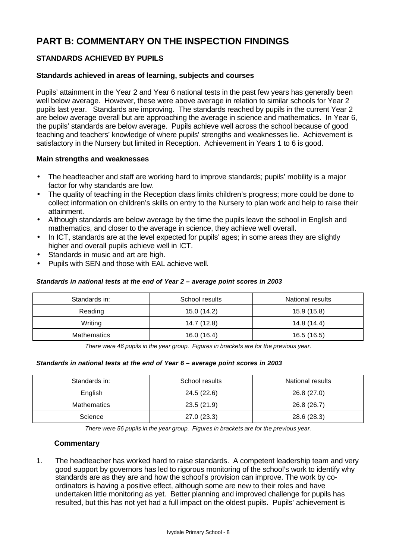# **PART B: COMMENTARY ON THE INSPECTION FINDINGS**

# **STANDARDS ACHIEVED BY PUPILS**

#### **Standards achieved in areas of learning, subjects and courses**

Pupils' attainment in the Year 2 and Year 6 national tests in the past few years has generally been well below average. However, these were above average in relation to similar schools for Year 2 pupils last year. Standards are improving. The standards reached by pupils in the current Year 2 are below average overall but are approaching the average in science and mathematics. In Year 6, the pupils' standards are below average. Pupils achieve well across the school because of good teaching and teachers' knowledge of where pupils' strengths and weaknesses lie. Achievement is satisfactory in the Nursery but limited in Reception. Achievement in Years 1 to 6 is good.

#### **Main strengths and weaknesses**

- The headteacher and staff are working hard to improve standards; pupils' mobility is a major factor for why standards are low.
- The quality of teaching in the Reception class limits children's progress; more could be done to collect information on children's skills on entry to the Nursery to plan work and help to raise their attainment.
- Although standards are below average by the time the pupils leave the school in English and mathematics, and closer to the average in science, they achieve well overall.
- In ICT, standards are at the level expected for pupils' ages; in some areas they are slightly higher and overall pupils achieve well in ICT.
- Standards in music and art are high.
- Pupils with SEN and those with EAL achieve well.

#### *Standards in national tests at the end of Year 2 – average point scores in 2003*

| Standards in:      | School results | National results |
|--------------------|----------------|------------------|
| Reading            | 15.0 (14.2)    | 15.9 (15.8)      |
| Writing            | 14.7 (12.8)    | 14.8 (14.4)      |
| <b>Mathematics</b> | 16.0(16.4)     | 16.5(16.5)       |

*There were 46 pupils in the year group. Figures in brackets are for the previous year.*

#### *Standards in national tests at the end of Year 6 – average point scores in 2003*

| Standards in:      | School results | National results |
|--------------------|----------------|------------------|
| English            | 24.5 (22.6)    | 26.8(27.0)       |
| <b>Mathematics</b> | 23.5(21.9)     | 26.8 (26.7)      |
| Science            | 27.0(23.3)     | 28.6 (28.3)      |

*There were 56 pupils in the year group. Figures in brackets are for the previous year.*

#### **Commentary**

1. The headteacher has worked hard to raise standards. A competent leadership team and very good support by governors has led to rigorous monitoring of the school's work to identify why standards are as they are and how the school's provision can improve. The work by coordinators is having a positive effect, although some are new to their roles and have undertaken little monitoring as yet. Better planning and improved challenge for pupils has resulted, but this has not yet had a full impact on the oldest pupils. Pupils' achievement is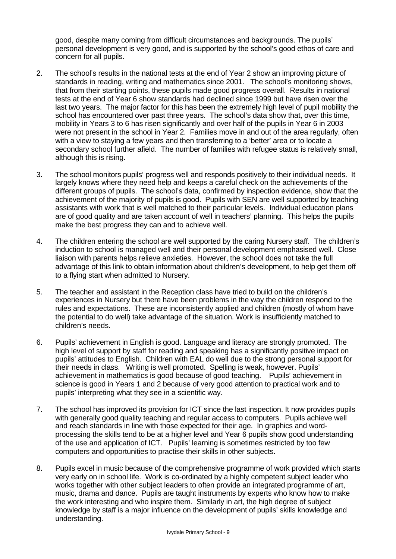good, despite many coming from difficult circumstances and backgrounds. The pupils' personal development is very good, and is supported by the school's good ethos of care and concern for all pupils.

- 2. The school's results in the national tests at the end of Year 2 show an improving picture of standards in reading, writing and mathematics since 2001. The school's monitoring shows, that from their starting points, these pupils made good progress overall. Results in national tests at the end of Year 6 show standards had declined since 1999 but have risen over the last two years. The major factor for this has been the extremely high level of pupil mobility the school has encountered over past three years. The school's data show that, over this time, mobility in Years 3 to 6 has risen significantly and over half of the pupils in Year 6 in 2003 were not present in the school in Year 2. Families move in and out of the area regularly, often with a view to staying a few years and then transferring to a 'better' area or to locate a secondary school further afield. The number of families with refugee status is relatively small. although this is rising.
- 3. The school monitors pupils' progress well and responds positively to their individual needs. It largely knows where they need help and keeps a careful check on the achievements of the different groups of pupils. The school's data, confirmed by inspection evidence, show that the achievement of the majority of pupils is good. Pupils with SEN are well supported by teaching assistants with work that is well matched to their particular levels. Individual education plans are of good quality and are taken account of well in teachers' planning. This helps the pupils make the best progress they can and to achieve well.
- 4. The children entering the school are well supported by the caring Nursery staff. The children's induction to school is managed well and their personal development emphasised well. Close liaison with parents helps relieve anxieties. However, the school does not take the full advantage of this link to obtain information about children's development, to help get them off to a flying start when admitted to Nursery.
- 5. The teacher and assistant in the Reception class have tried to build on the children's experiences in Nursery but there have been problems in the way the children respond to the rules and expectations. These are inconsistently applied and children (mostly of whom have the potential to do well) take advantage of the situation. Work is insufficiently matched to children's needs.
- 6. Pupils' achievement in English is good. Language and literacy are strongly promoted. The high level of support by staff for reading and speaking has a significantly positive impact on pupils' attitudes to English. Children with EAL do well due to the strong personal support for their needs in class. Writing is well promoted. Spelling is weak, however. Pupils' achievement in mathematics is good because of good teaching. Pupils' achievement in science is good in Years 1 and 2 because of very good attention to practical work and to pupils' interpreting what they see in a scientific way.
- 7. The school has improved its provision for ICT since the last inspection. It now provides pupils with generally good quality teaching and regular access to computers. Pupils achieve well and reach standards in line with those expected for their age. In graphics and wordprocessing the skills tend to be at a higher level and Year 6 pupils show good understanding of the use and application of ICT. Pupils' learning is sometimes restricted by too few computers and opportunities to practise their skills in other subjects.
- 8. Pupils excel in music because of the comprehensive programme of work provided which starts very early on in school life. Work is co-ordinated by a highly competent subject leader who works together with other subject leaders to often provide an integrated programme of art, music, drama and dance. Pupils are taught instruments by experts who know how to make the work interesting and who inspire them. Similarly in art, the high degree of subject knowledge by staff is a major influence on the development of pupils' skills knowledge and understanding.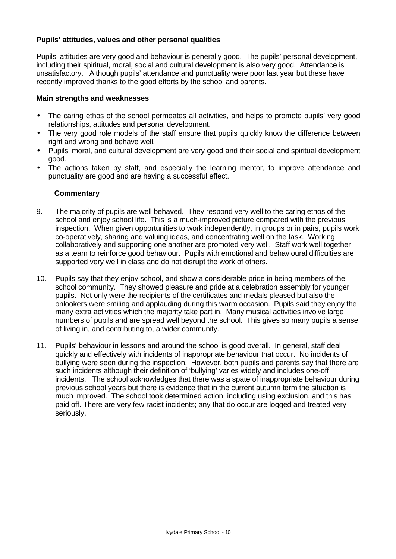# **Pupils' attitudes, values and other personal qualities**

Pupils' attitudes are very good and behaviour is generally good. The pupils' personal development, including their spiritual, moral, social and cultural development is also very good. Attendance is unsatisfactory. Although pupils' attendance and punctuality were poor last year but these have recently improved thanks to the good efforts by the school and parents.

#### **Main strengths and weaknesses**

- The caring ethos of the school permeates all activities, and helps to promote pupils' very good relationships, attitudes and personal development.
- The very good role models of the staff ensure that pupils quickly know the difference between right and wrong and behave well.
- Pupils' moral, and cultural development are very good and their social and spiritual development good.
- The actions taken by staff, and especially the learning mentor, to improve attendance and punctuality are good and are having a successful effect.

- 9. The majority of pupils are well behaved. They respond very well to the caring ethos of the school and enjoy school life. This is a much-improved picture compared with the previous inspection. When given opportunities to work independently, in groups or in pairs, pupils work co-operatively, sharing and valuing ideas, and concentrating well on the task. Working collaboratively and supporting one another are promoted very well. Staff work well together as a team to reinforce good behaviour. Pupils with emotional and behavioural difficulties are supported very well in class and do not disrupt the work of others.
- 10. Pupils say that they enjoy school, and show a considerable pride in being members of the school community. They showed pleasure and pride at a celebration assembly for younger pupils. Not only were the recipients of the certificates and medals pleased but also the onlookers were smiling and applauding during this warm occasion. Pupils said they enjoy the many extra activities which the majority take part in. Many musical activities involve large numbers of pupils and are spread well beyond the school. This gives so many pupils a sense of living in, and contributing to, a wider community.
- 11. Pupils' behaviour in lessons and around the school is good overall. In general, staff deal quickly and effectively with incidents of inappropriate behaviour that occur. No incidents of bullying were seen during the inspection. However, both pupils and parents say that there are such incidents although their definition of 'bullying' varies widely and includes one-off incidents. The school acknowledges that there was a spate of inappropriate behaviour during previous school years but there is evidence that in the current autumn term the situation is much improved. The school took determined action, including using exclusion, and this has paid off. There are very few racist incidents; any that do occur are logged and treated very seriously.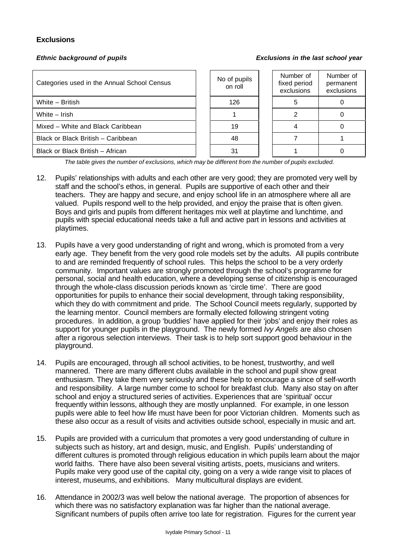# **Exclusions**

#### *Ethnic background of pupils Exclusions in the last school year*

| Categories used in the Annual School Census | No of pupils<br>on roll | Number of<br>fixed period<br>exclusions | Numb<br>perma<br>exclus |
|---------------------------------------------|-------------------------|-----------------------------------------|-------------------------|
| White - British                             | 126                     |                                         |                         |
| White - Irish                               |                         |                                         | 0                       |
| Mixed – White and Black Caribbean           | 19                      |                                         | 0                       |
| Black or Black British - Caribbean          | 48                      |                                         |                         |
| Black or Black British - African            | 31                      |                                         | 0                       |

| No of pupils<br>on roll | Number of<br>fixed period<br>exclusions | Number of<br>permanent<br>exclusions |
|-------------------------|-----------------------------------------|--------------------------------------|
| 126                     |                                         |                                      |
|                         |                                         |                                      |
| 19                      |                                         |                                      |
| 48                      |                                         |                                      |
| 31                      |                                         |                                      |

*The table gives the number of exclusions, which may be different from the number of pupils excluded.*

- 12. Pupils' relationships with adults and each other are very good; they are promoted very well by staff and the school's ethos, in general. Pupils are supportive of each other and their teachers. They are happy and secure, and enjoy school life in an atmosphere where all are valued. Pupils respond well to the help provided, and enjoy the praise that is often given. Boys and girls and pupils from different heritages mix well at playtime and lunchtime, and pupils with special educational needs take a full and active part in lessons and activities at playtimes.
- 13. Pupils have a very good understanding of right and wrong, which is promoted from a very early age. They benefit from the very good role models set by the adults. All pupils contribute to and are reminded frequently of school rules. This helps the school to be a very orderly community. Important values are strongly promoted through the school's programme for personal, social and health education, where a developing sense of citizenship is encouraged through the whole-class discussion periods known as 'circle time'. There are good opportunities for pupils to enhance their social development, through taking responsibility, which they do with commitment and pride. The School Council meets regularly, supported by the learning mentor. Council members are formally elected following stringent voting procedures. In addition, a group 'buddies' have applied for their 'jobs' and enjoy their roles as support for younger pupils in the playground. The newly formed *Ivy Angels* are also chosen after a rigorous selection interviews. Their task is to help sort support good behaviour in the playground.
- 14. Pupils are encouraged, through all school activities, to be honest, trustworthy, and well mannered. There are many different clubs available in the school and pupil show great enthusiasm. They take them very seriously and these help to encourage a since of self-worth and responsibility. A large number come to school for breakfast club. Many also stay on after school and enjoy a structured series of activities. Experiences that are 'spiritual' occur frequently within lessons, although they are mostly unplanned. For example, in one lesson pupils were able to feel how life must have been for poor Victorian children. Moments such as these also occur as a result of visits and activities outside school, especially in music and art.
- 15. Pupils are provided with a curriculum that promotes a very good understanding of culture in subjects such as history, art and design, music, and English. Pupils' understanding of different cultures is promoted through religious education in which pupils learn about the major world faiths. There have also been several visiting artists, poets, musicians and writers. Pupils make very good use of the capital city, going on a very a wide range visit to places of interest, museums, and exhibitions. Many multicultural displays are evident.
- 16. Attendance in 2002/3 was well below the national average. The proportion of absences for which there was no satisfactory explanation was far higher than the national average. Significant numbers of pupils often arrive too late for registration. Figures for the current year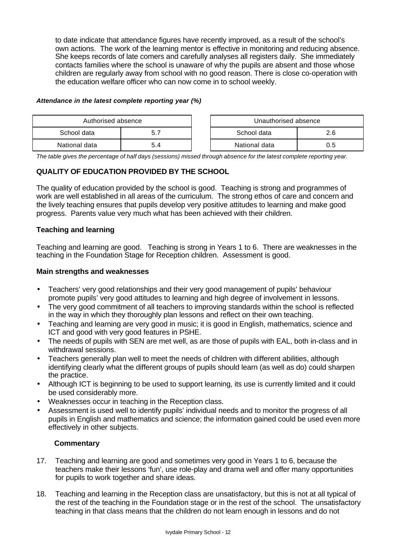to date indicate that attendance figures have recently improved, as a result of the school's own actions. The work of the learning mentor is effective in monitoring and reducing absence. She keeps records of late comers and carefully analyses all registers daily. She immediately contacts families where the school is unaware of why the pupils are absent and those whose children are regularly away from school with no good reason. There is close co-operation with the education welfare officer who can now come in to school weekly.

#### *Attendance in the latest complete reporting year (%)*

| Authorised absence |     |  | Unauthorised absence |     |
|--------------------|-----|--|----------------------|-----|
| School data        | 5.  |  | School data          | 2.6 |
| National data      | ነ.4 |  | National data        | 0.5 |

*The table gives the percentage of half days (sessions) missed through absence for the latest complete reporting year.*

# **QUALITY OF EDUCATION PROVIDED BY THE SCHOOL**

The quality of education provided by the school is good. Teaching is strong and programmes of work are well established in all areas of the curriculum. The strong ethos of care and concern and the lively teaching ensures that pupils develop very positive attitudes to learning and make good progress. Parents value very much what has been achieved with their children.

#### **Teaching and learning**

Teaching and learning are good. Teaching is strong in Years 1 to 6. There are weaknesses in the teaching in the Foundation Stage for Reception children. Assessment is good.

#### **Main strengths and weaknesses**

- Teachers' very good relationships and their very good management of pupils' behaviour promote pupils' very good attitudes to learning and high degree of involvement in lessons.
- The very good commitment of all teachers to improving standards within the school is reflected in the way in which they thoroughly plan lessons and reflect on their own teaching.
- Teaching and learning are very good in music; it is good in English, mathematics, science and ICT and good with very good features in PSHE.
- The needs of pupils with SEN are met well, as are those of pupils with EAL, both in-class and in withdrawal sessions.
- Teachers generally plan well to meet the needs of children with different abilities, although identifying clearly what the different groups of pupils should learn (as well as do) could sharpen the practice.
- Although ICT is beginning to be used to support learning, its use is currently limited and it could be used considerably more.
- Weaknesses occur in teaching in the Reception class.
- Assessment is used well to identify pupils' individual needs and to monitor the progress of all pupils in English and mathematics and science; the information gained could be used even more effectively in other subjects.

- 17. Teaching and learning are good and sometimes very good in Years 1 to 6, because the teachers make their lessons 'fun', use role-play and drama well and offer many opportunities for pupils to work together and share ideas.
- 18. Teaching and learning in the Reception class are unsatisfactory, but this is not at all typical of the rest of the teaching in the Foundation stage or in the rest of the school. The unsatisfactory teaching in that class means that the children do not learn enough in lessons and do not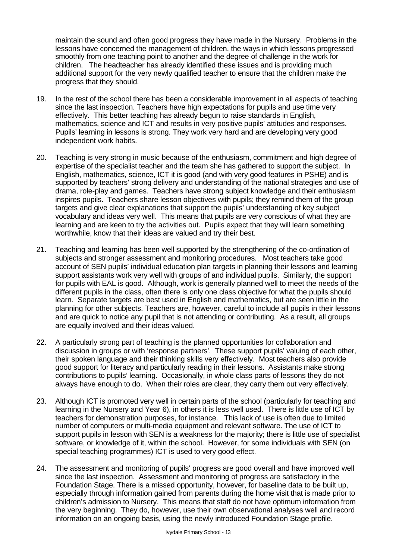maintain the sound and often good progress they have made in the Nursery. Problems in the lessons have concerned the management of children, the ways in which lessons progressed smoothly from one teaching point to another and the degree of challenge in the work for children. The headteacher has already identified these issues and is providing much additional support for the very newly qualified teacher to ensure that the children make the progress that they should.

- 19. In the rest of the school there has been a considerable improvement in all aspects of teaching since the last inspection. Teachers have high expectations for pupils and use time very effectively. This better teaching has already begun to raise standards in English, mathematics, science and ICT and results in very positive pupils' attitudes and responses. Pupils' learning in lessons is strong. They work very hard and are developing very good independent work habits.
- 20. Teaching is very strong in music because of the enthusiasm, commitment and high degree of expertise of the specialist teacher and the team she has gathered to support the subject. In English, mathematics, science, ICT it is good (and with very good features in PSHE) and is supported by teachers' strong delivery and understanding of the national strategies and use of drama, role-play and games. Teachers have strong subject knowledge and their enthusiasm inspires pupils. Teachers share lesson objectives with pupils; they remind them of the group targets and give clear explanations that support the pupils' understanding of key subject vocabulary and ideas very well. This means that pupils are very conscious of what they are learning and are keen to try the activities out. Pupils expect that they will learn something worthwhile, know that their ideas are valued and try their best.
- 21. Teaching and learning has been well supported by the strengthening of the co-ordination of subjects and stronger assessment and monitoring procedures. Most teachers take good account of SEN pupils' individual education plan targets in planning their lessons and learning support assistants work very well with groups of and individual pupils. Similarly, the support for pupils with EAL is good. Although, work is generally planned well to meet the needs of the different pupils in the class, often there is only one class objective for what the pupils should learn. Separate targets are best used in English and mathematics, but are seen little in the planning for other subjects. Teachers are, however, careful to include all pupils in their lessons and are quick to notice any pupil that is not attending or contributing. As a result, all groups are equally involved and their ideas valued.
- 22. A particularly strong part of teaching is the planned opportunities for collaboration and discussion in groups or with 'response partners'. These support pupils' valuing of each other, their spoken language and their thinking skills very effectively. Most teachers also provide good support for literacy and particularly reading in their lessons. Assistants make strong contributions to pupils' learning. Occasionally, in whole class parts of lessons they do not always have enough to do. When their roles are clear, they carry them out very effectively.
- 23. Although ICT is promoted very well in certain parts of the school (particularly for teaching and learning in the Nursery and Year 6), in others it is less well used. There is little use of ICT by teachers for demonstration purposes, for instance. This lack of use is often due to limited number of computers or multi-media equipment and relevant software. The use of ICT to support pupils in lesson with SEN is a weakness for the majority; there is little use of specialist software, or knowledge of it, within the school. However, for some individuals with SEN (on special teaching programmes) ICT is used to very good effect.
- 24. The assessment and monitoring of pupils' progress are good overall and have improved well since the last inspection. Assessment and monitoring of progress are satisfactory in the Foundation Stage. There is a missed opportunity, however, for baseline data to be built up, especially through information gained from parents during the home visit that is made prior to children's admission to Nursery. This means that staff do not have optimum information from the very beginning. They do, however, use their own observational analyses well and record information on an ongoing basis, using the newly introduced Foundation Stage profile.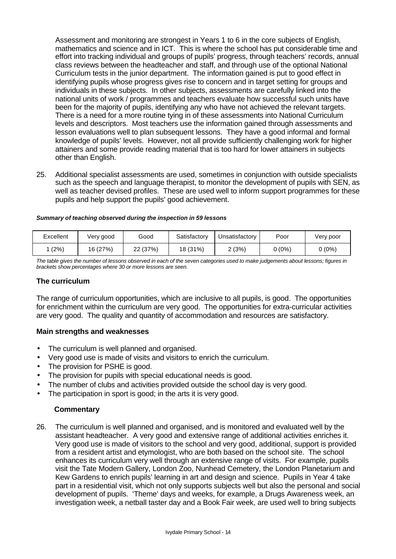Assessment and monitoring are strongest in Years 1 to 6 in the core subjects of English, mathematics and science and in ICT. This is where the school has put considerable time and effort into tracking individual and groups of pupils' progress, through teachers' records, annual class reviews between the headteacher and staff, and through use of the optional National Curriculum tests in the junior department. The information gained is put to good effect in identifying pupils whose progress gives rise to concern and in target setting for groups and individuals in these subjects. In other subjects, assessments are carefully linked into the national units of work / programmes and teachers evaluate how successful such units have been for the majority of pupils, identifying any who have not achieved the relevant targets. There is a need for a more routine tying in of these assessments into National Curriculum levels and descriptors. Most teachers use the information gained through assessments and lesson evaluations well to plan subsequent lessons. They have a good informal and formal knowledge of pupils' levels. However, not all provide sufficiently challenging work for higher attainers and some provide reading material that is too hard for lower attainers in subjects other than English.

25. Additional specialist assessments are used, sometimes in conjunction with outside specialists such as the speech and language therapist, to monitor the development of pupils with SEN, as well as teacher devised profiles. These are used well to inform support programmes for these pupils and help support the pupils' good achievement.

#### *Summary of teaching observed during the inspection in 59 lessons*

| Excellent | Very good | Good     | Satisfactory | Unsatisfactory | Poor   | Very poor |
|-----------|-----------|----------|--------------|----------------|--------|-----------|
| (2%)      | 16 (27%)  | 22 (37%) | 18 (31%)     | 2 (3%)         | 0 (0%) | $0(0\%)$  |

*The table gives the number of lessons observed in each of the seven categories used to make judgements about lessons; figures in brackets show percentages where 30 or more lessons are seen.*

#### **The curriculum**

The range of curriculum opportunities, which are inclusive to all pupils, is good. The opportunities for enrichment within the curriculum are very good. The opportunities for extra-curricular activities are very good. The quality and quantity of accommodation and resources are satisfactory.

#### **Main strengths and weaknesses**

- The curriculum is well planned and organised.
- Very good use is made of visits and visitors to enrich the curriculum.
- The provision for PSHE is good.
- The provision for pupils with special educational needs is good.
- The number of clubs and activities provided outside the school day is very good.
- The participation in sport is good; in the arts it is very good.

#### **Commentary**

26. The curriculum is well planned and organised, and is monitored and evaluated well by the assistant headteacher. A very good and extensive range of additional activities enriches it. Very good use is made of visitors to the school and very good, additional, support is provided from a resident artist and etymologist, who are both based on the school site. The school enhances its curriculum very well through an extensive range of visits. For example, pupils visit the Tate Modern Gallery, London Zoo, Nunhead Cemetery, the London Planetarium and Kew Gardens to enrich pupils' learning in art and design and science. Pupils in Year 4 take part in a residential visit, which not only supports subjects well but also the personal and social development of pupils. 'Theme' days and weeks, for example, a Drugs Awareness week, an investigation week, a netball taster day and a Book Fair week, are used well to bring subjects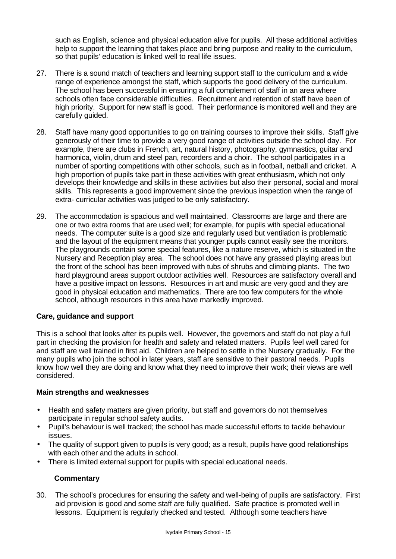such as English, science and physical education alive for pupils. All these additional activities help to support the learning that takes place and bring purpose and reality to the curriculum, so that pupils' education is linked well to real life issues.

- 27. There is a sound match of teachers and learning support staff to the curriculum and a wide range of experience amongst the staff, which supports the good delivery of the curriculum. The school has been successful in ensuring a full complement of staff in an area where schools often face considerable difficulties. Recruitment and retention of staff have been of high priority. Support for new staff is good. Their performance is monitored well and they are carefully guided.
- 28. Staff have many good opportunities to go on training courses to improve their skills. Staff give generously of their time to provide a very good range of activities outside the school day. For example, there are clubs in French, art, natural history, photography, gymnastics, guitar and harmonica, violin, drum and steel pan, recorders and a choir. The school participates in a number of sporting competitions with other schools, such as in football, netball and cricket. A high proportion of pupils take part in these activities with great enthusiasm, which not only develops their knowledge and skills in these activities but also their personal, social and moral skills. This represents a good improvement since the previous inspection when the range of extra- curricular activities was judged to be only satisfactory.
- 29. The accommodation is spacious and well maintained. Classrooms are large and there are one or two extra rooms that are used well; for example, for pupils with special educational needs. The computer suite is a good size and regularly used but ventilation is problematic and the layout of the equipment means that younger pupils cannot easily see the monitors. The playgrounds contain some special features, like a nature reserve, which is situated in the Nursery and Reception play area. The school does not have any grassed playing areas but the front of the school has been improved with tubs of shrubs and climbing plants. The two hard playground areas support outdoor activities well. Resources are satisfactory overall and have a positive impact on lessons. Resources in art and music are very good and they are good in physical education and mathematics. There are too few computers for the whole school, although resources in this area have markedly improved.

#### **Care, guidance and support**

This is a school that looks after its pupils well. However, the governors and staff do not play a full part in checking the provision for health and safety and related matters. Pupils feel well cared for and staff are well trained in first aid. Children are helped to settle in the Nursery gradually. For the many pupils who join the school in later years, staff are sensitive to their pastoral needs. Pupils know how well they are doing and know what they need to improve their work; their views are well considered.

#### **Main strengths and weaknesses**

- Health and safety matters are given priority, but staff and governors do not themselves participate in regular school safety audits.
- Pupil's behaviour is well tracked; the school has made successful efforts to tackle behaviour issues.
- The quality of support given to pupils is very good; as a result, pupils have good relationships with each other and the adults in school.
- There is limited external support for pupils with special educational needs.

#### **Commentary**

30. The school's procedures for ensuring the safety and well-being of pupils are satisfactory. First aid provision is good and some staff are fully qualified. Safe practice is promoted well in lessons. Equipment is regularly checked and tested. Although some teachers have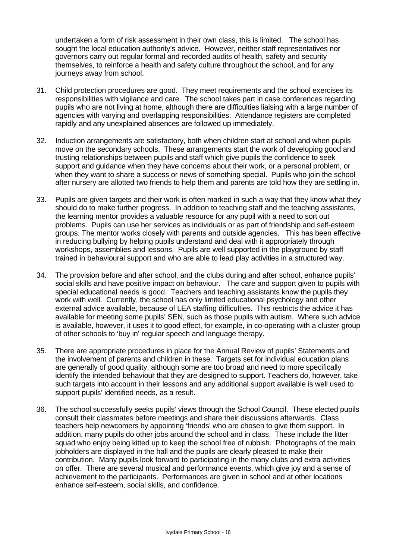undertaken a form of risk assessment in their own class, this is limited. The school has sought the local education authority's advice. However, neither staff representatives nor governors carry out regular formal and recorded audits of health, safety and security themselves, to reinforce a health and safety culture throughout the school, and for any journeys away from school.

- 31. Child protection procedures are good. They meet requirements and the school exercises its responsibilities with vigilance and care. The school takes part in case conferences regarding pupils who are not living at home, although there are difficulties liaising with a large number of agencies with varying and overlapping responsibilities. Attendance registers are completed rapidly and any unexplained absences are followed up immediately.
- 32. Induction arrangements are satisfactory, both when children start at school and when pupils move on the secondary schools. These arrangements start the work of developing good and trusting relationships between pupils and staff which give pupils the confidence to seek support and guidance when they have concerns about their work, or a personal problem, or when they want to share a success or news of something special. Pupils who join the school after nursery are allotted two friends to help them and parents are told how they are settling in.
- 33. Pupils are given targets and their work is often marked in such a way that they know what they should do to make further progress. In addition to teaching staff and the teaching assistants, the learning mentor provides a valuable resource for any pupil with a need to sort out problems. Pupils can use her services as individuals or as part of friendship and self-esteem groups. The mentor works closely with parents and outside agencies. This has been effective in reducing bullying by helping pupils understand and deal with it appropriately through workshops, assemblies and lessons. Pupils are well supported in the playground by staff trained in behavioural support and who are able to lead play activities in a structured way.
- 34. The provision before and after school, and the clubs during and after school, enhance pupils' social skills and have positive impact on behaviour. The care and support given to pupils with special educational needs is good. Teachers and teaching assistants know the pupils they work with well. Currently, the school has only limited educational psychology and other external advice available, because of LEA staffing difficulties. This restricts the advice it has available for meeting some pupils' SEN, such as those pupils with autism. Where such advice is available, however, it uses it to good effect, for example, in co-operating with a cluster group of other schools to 'buy in' regular speech and language therapy.
- 35. There are appropriate procedures in place for the Annual Review of pupils' Statements and the involvement of parents and children in these. Targets set for individual education plans are generally of good quality, although some are too broad and need to more specifically identify the intended behaviour that they are designed to support. Teachers do, however, take such targets into account in their lessons and any additional support available is well used to support pupils' identified needs, as a result.
- 36. The school successfully seeks pupils' views through the School Council. These elected pupils consult their classmates before meetings and share their discussions afterwards. Class teachers help newcomers by appointing 'friends' who are chosen to give them support. In addition, many pupils do other jobs around the school and in class. These include the litter squad who enjoy being kitted up to keep the school free of rubbish. Photographs of the main jobholders are displayed in the hall and the pupils are clearly pleased to make their contribution. Many pupils look forward to participating in the many clubs and extra activities on offer. There are several musical and performance events, which give joy and a sense of achievement to the participants. Performances are given in school and at other locations enhance self-esteem, social skills, and confidence.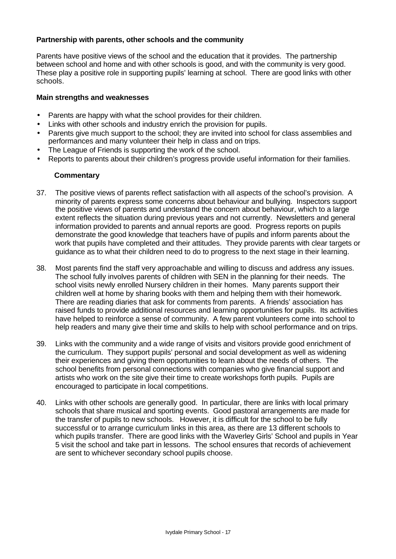## **Partnership with parents, other schools and the community**

Parents have positive views of the school and the education that it provides. The partnership between school and home and with other schools is good, and with the community is very good. These play a positive role in supporting pupils' learning at school. There are good links with other schools.

#### **Main strengths and weaknesses**

- Parents are happy with what the school provides for their children.
- Links with other schools and industry enrich the provision for pupils.
- Parents give much support to the school; they are invited into school for class assemblies and performances and many volunteer their help in class and on trips.
- The League of Friends is supporting the work of the school.
- Reports to parents about their children's progress provide useful information for their families.

- 37. The positive views of parents reflect satisfaction with all aspects of the school's provision. A minority of parents express some concerns about behaviour and bullying. Inspectors support the positive views of parents and understand the concern about behaviour, which to a large extent reflects the situation during previous years and not currently. Newsletters and general information provided to parents and annual reports are good. Progress reports on pupils demonstrate the good knowledge that teachers have of pupils and inform parents about the work that pupils have completed and their attitudes. They provide parents with clear targets or guidance as to what their children need to do to progress to the next stage in their learning.
- 38. Most parents find the staff very approachable and willing to discuss and address any issues. The school fully involves parents of children with SEN in the planning for their needs. The school visits newly enrolled Nursery children in their homes. Many parents support their children well at home by sharing books with them and helping them with their homework. There are reading diaries that ask for comments from parents. A friends' association has raised funds to provide additional resources and learning opportunities for pupils. Its activities have helped to reinforce a sense of community. A few parent volunteers come into school to help readers and many give their time and skills to help with school performance and on trips.
- 39. Links with the community and a wide range of visits and visitors provide good enrichment of the curriculum. They support pupils' personal and social development as well as widening their experiences and giving them opportunities to learn about the needs of others. The school benefits from personal connections with companies who give financial support and artists who work on the site give their time to create workshops forth pupils. Pupils are encouraged to participate in local competitions.
- 40. Links with other schools are generally good. In particular, there are links with local primary schools that share musical and sporting events. Good pastoral arrangements are made for the transfer of pupils to new schools. However, it is difficult for the school to be fully successful or to arrange curriculum links in this area, as there are 13 different schools to which pupils transfer. There are good links with the Waverley Girls' School and pupils in Year 5 visit the school and take part in lessons. The school ensures that records of achievement are sent to whichever secondary school pupils choose.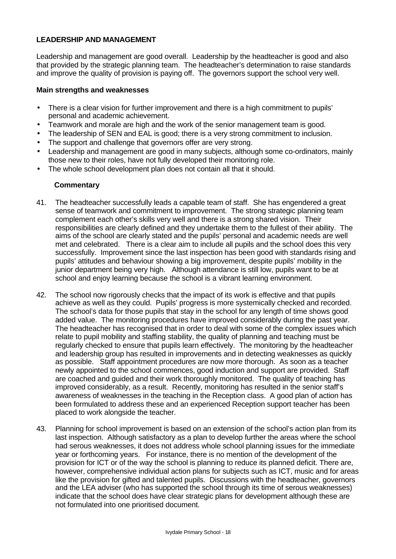#### **LEADERSHIP AND MANAGEMENT**

Leadership and management are good overall. Leadership by the headteacher is good and also that provided by the strategic planning team. The headteacher's determination to raise standards and improve the quality of provision is paying off. The governors support the school very well.

#### **Main strengths and weaknesses**

- There is a clear vision for further improvement and there is a high commitment to pupils' personal and academic achievement.
- Teamwork and morale are high and the work of the senior management team is good.
- The leadership of SEN and EAL is good; there is a very strong commitment to inclusion.
- The support and challenge that governors offer are very strong.
- Leadership and management are good in many subjects, although some co-ordinators, mainly those new to their roles, have not fully developed their monitoring role.
- The whole school development plan does not contain all that it should.

- 41. The headteacher successfully leads a capable team of staff. She has engendered a great sense of teamwork and commitment to improvement. The strong strategic planning team complement each other's skills very well and there is a strong shared vision. Their responsibilities are clearly defined and they undertake them to the fullest of their ability. The aims of the school are clearly stated and the pupils' personal and academic needs are well met and celebrated. There is a clear aim to include all pupils and the school does this very successfully. Improvement since the last inspection has been good with standards rising and pupils' attitudes and behaviour showing a big improvement, despite pupils' mobility in the junior department being very high. Although attendance is still low, pupils want to be at school and enjoy learning because the school is a vibrant learning environment.
- 42. The school now rigorously checks that the impact of its work is effective and that pupils achieve as well as they could. Pupils' progress is more systemically checked and recorded. The school's data for those pupils that stay in the school for any length of time shows good added value. The monitoring procedures have improved considerably during the past year. The headteacher has recognised that in order to deal with some of the complex issues which relate to pupil mobility and staffing stability, the quality of planning and teaching must be regularly checked to ensure that pupils learn effectively. The monitoring by the headteacher and leadership group has resulted in improvements and in detecting weaknesses as quickly as possible. Staff appointment procedures are now more thorough. As soon as a teacher newly appointed to the school commences, good induction and support are provided. Staff are coached and guided and their work thoroughly monitored. The quality of teaching has improved considerably, as a result. Recently, monitoring has resulted in the senior staff's awareness of weaknesses in the teaching in the Reception class. A good plan of action has been formulated to address these and an experienced Reception support teacher has been placed to work alongside the teacher.
- 43. Planning for school improvement is based on an extension of the school's action plan from its last inspection. Although satisfactory as a plan to develop further the areas where the school had serous weaknesses, it does not address whole school planning issues for the immediate year or forthcoming years. For instance, there is no mention of the development of the provision for ICT or of the way the school is planning to reduce its planned deficit. There are, however, comprehensive individual action plans for subjects such as ICT, music and for areas like the provision for gifted and talented pupils. Discussions with the headteacher, governors and the LEA adviser (who has supported the school through its time of serous weaknesses) indicate that the school does have clear strategic plans for development although these are not formulated into one prioritised document.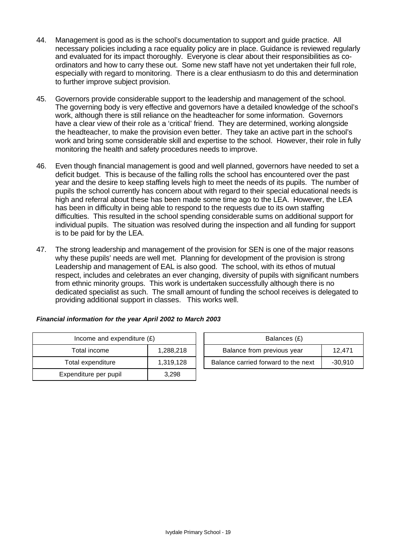- 44. Management is good as is the school's documentation to support and guide practice. All necessary policies including a race equality policy are in place. Guidance is reviewed regularly and evaluated for its impact thoroughly. Everyone is clear about their responsibilities as coordinators and how to carry these out. Some new staff have not yet undertaken their full role, especially with regard to monitoring. There is a clear enthusiasm to do this and determination to further improve subject provision.
- 45. Governors provide considerable support to the leadership and management of the school. The governing body is very effective and governors have a detailed knowledge of the school's work, although there is still reliance on the headteacher for some information. Governors have a clear view of their role as a 'critical' friend. They are determined, working alongside the headteacher, to make the provision even better. They take an active part in the school's work and bring some considerable skill and expertise to the school. However, their role in fully monitoring the health and safety procedures needs to improve.
- 46. Even though financial management is good and well planned, governors have needed to set a deficit budget. This is because of the falling rolls the school has encountered over the past year and the desire to keep staffing levels high to meet the needs of its pupils. The number of pupils the school currently has concern about with regard to their special educational needs is high and referral about these has been made some time ago to the LEA. However, the LEA has been in difficulty in being able to respond to the requests due to its own staffing difficulties. This resulted in the school spending considerable sums on additional support for individual pupils. The situation was resolved during the inspection and all funding for support is to be paid for by the LEA.
- 47. The strong leadership and management of the provision for SEN is one of the major reasons why these pupils' needs are well met. Planning for development of the provision is strong Leadership and management of EAL is also good. The school, with its ethos of mutual respect, includes and celebrates an ever changing, diversity of pupils with significant numbers from ethnic minority groups. This work is undertaken successfully although there is no dedicated specialist as such. The small amount of funding the school receives is delegated to providing additional support in classes. This works well.

| Income and expenditure $(E)$ | Balances (£) |                                |
|------------------------------|--------------|--------------------------------|
| Total income                 | 1,288,218    | Balance from previous year     |
| Total expenditure            | 1,319,128    | Balance carried forward to the |
| Expenditure per pupil        | 3.298        |                                |

| Income and expenditure $(E)$ |           | Balances (£)                        |           |
|------------------------------|-----------|-------------------------------------|-----------|
| Total income                 | 1,288,218 | Balance from previous year          | 12.471    |
| Total expenditure            | 1.319.128 | Balance carried forward to the next | $-30.910$ |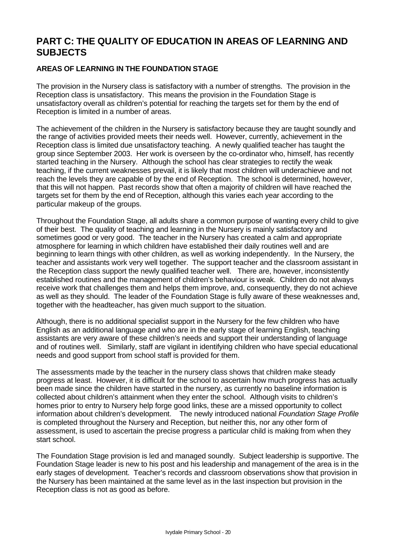# **PART C: THE QUALITY OF EDUCATION IN AREAS OF LEARNING AND SUBJECTS**

# **AREAS OF LEARNING IN THE FOUNDATION STAGE**

The provision in the Nursery class is satisfactory with a number of strengths. The provision in the Reception class is unsatisfactory. This means the provision in the Foundation Stage is unsatisfactory overall as children's potential for reaching the targets set for them by the end of Reception is limited in a number of areas.

The achievement of the children in the Nursery is satisfactory because they are taught soundly and the range of activities provided meets their needs well. However, currently, achievement in the Reception class is limited due unsatisfactory teaching. A newly qualified teacher has taught the group since September 2003. Her work is overseen by the co-ordinator who, himself, has recently started teaching in the Nursery. Although the school has clear strategies to rectify the weak teaching, if the current weaknesses prevail, it is likely that most children will underachieve and not reach the levels they are capable of by the end of Reception. The school is determined, however, that this will not happen. Past records show that often a majority of children will have reached the targets set for them by the end of Reception, although this varies each year according to the particular makeup of the groups.

Throughout the Foundation Stage, all adults share a common purpose of wanting every child to give of their best. The quality of teaching and learning in the Nursery is mainly satisfactory and sometimes good or very good. The teacher in the Nursery has created a calm and appropriate atmosphere for learning in which children have established their daily routines well and are beginning to learn things with other children, as well as working independently. In the Nursery, the teacher and assistants work very well together. The support teacher and the classroom assistant in the Reception class support the newly qualified teacher well. There are, however, inconsistently established routines and the management of children's behaviour is weak. Children do not always receive work that challenges them and helps them improve, and, consequently, they do not achieve as well as they should. The leader of the Foundation Stage is fully aware of these weaknesses and, together with the headteacher, has given much support to the situation.

Although, there is no additional specialist support in the Nursery for the few children who have English as an additional language and who are in the early stage of learning English, teaching assistants are very aware of these children's needs and support their understanding of language and of routines well. Similarly, staff are vigilant in identifying children who have special educational needs and good support from school staff is provided for them.

The assessments made by the teacher in the nursery class shows that children make steady progress at least. However, it is difficult for the school to ascertain how much progress has actually been made since the children have started in the nursery, as currently no baseline information is collected about children's attainment when they enter the school. Although visits to children's homes prior to entry to Nursery help forge good links, these are a missed opportunity to collect information about children's development. The newly introduced national *Foundation Stage Profile* is completed throughout the Nursery and Reception, but neither this, nor any other form of assessment, is used to ascertain the precise progress a particular child is making from when they start school.

The Foundation Stage provision is led and managed soundly. Subject leadership is supportive. The Foundation Stage leader is new to his post and his leadership and management of the area is in the early stages of development. Teacher's records and classroom observations show that provision in the Nursery has been maintained at the same level as in the last inspection but provision in the Reception class is not as good as before.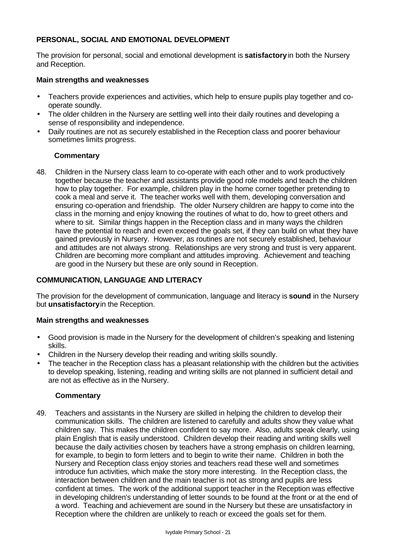# **PERSONAL, SOCIAL AND EMOTIONAL DEVELOPMENT**

The provision for personal, social and emotional development is **satisfactory** in both the Nursery and Reception.

#### **Main strengths and weaknesses**

- Teachers provide experiences and activities, which help to ensure pupils play together and cooperate soundly.
- The older children in the Nursery are settling well into their daily routines and developing a sense of responsibility and independence.
- Daily routines are not as securely established in the Reception class and poorer behaviour sometimes limits progress.

# **Commentary**

48. Children in the Nursery class learn to co-operate with each other and to work productively together because the teacher and assistants provide good role models and teach the children how to play together. For example, children play in the home corner together pretending to cook a meal and serve it. The teacher works well with them, developing conversation and ensuring co-operation and friendship. The older Nursery children are happy to come into the class in the morning and enjoy knowing the routines of what to do, how to greet others and where to sit. Similar things happen in the Reception class and in many ways the children have the potential to reach and even exceed the goals set, if they can build on what they have gained previously in Nursery. However, as routines are not securely established, behaviour and attitudes are not always strong. Relationships are very strong and trust is very apparent. Children are becoming more compliant and attitudes improving. Achievement and teaching are good in the Nursery but these are only sound in Reception.

# **COMMUNICATION, LANGUAGE AND LITERACY**

The provision for the development of communication, language and literacy is **sound** in the Nursery but **unsatisfactory** in the Reception.

#### **Main strengths and weaknesses**

- Good provision is made in the Nursery for the development of children's speaking and listening skills.
- Children in the Nursery develop their reading and writing skills soundly.
- The teacher in the Reception class has a pleasant relationship with the children but the activities to develop speaking, listening, reading and writing skills are not planned in sufficient detail and are not as effective as in the Nursery.

#### **Commentary**

49. Teachers and assistants in the Nursery are skilled in helping the children to develop their communication skills. The children are listened to carefully and adults show they value what children say. This makes the children confident to say more. Also, adults speak clearly, using plain English that is easily understood. Children develop their reading and writing skills well because the daily activities chosen by teachers have a strong emphasis on children learning, for example, to begin to form letters and to begin to write their name. Children in both the Nursery and Reception class enjoy stories and teachers read these well and sometimes introduce fun activities, which make the story more interesting. In the Reception class, the interaction between children and the main teacher is not as strong and pupils are less confident at times. The work of the additional support teacher in the Reception was effective in developing children's understanding of letter sounds to be found at the front or at the end of a word. Teaching and achievement are sound in the Nursery but these are unsatisfactory in Reception where the children are unlikely to reach or exceed the goals set for them.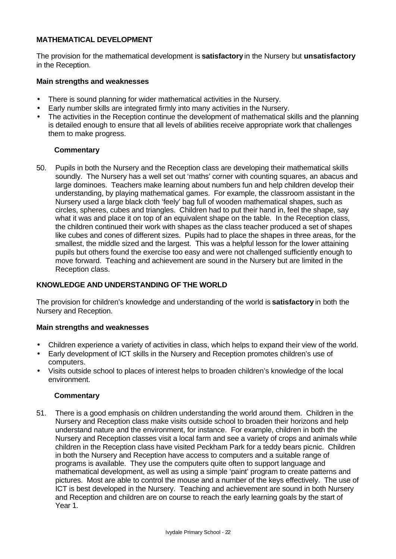# **MATHEMATICAL DEVELOPMENT**

The provision for the mathematical development is **satisfactory** in the Nursery but **unsatisfactory** in the Reception.

#### **Main strengths and weaknesses**

- There is sound planning for wider mathematical activities in the Nursery.
- Early number skills are integrated firmly into many activities in the Nursery.
- The activities in the Reception continue the development of mathematical skills and the planning is detailed enough to ensure that all levels of abilities receive appropriate work that challenges them to make progress.

# **Commentary**

50. Pupils in both the Nursery and the Reception class are developing their mathematical skills soundly. The Nursery has a well set out 'maths' corner with counting squares, an abacus and large dominoes. Teachers make learning about numbers fun and help children develop their understanding, by playing mathematical games. For example, the classroom assistant in the Nursery used a large black cloth 'feely' bag full of wooden mathematical shapes, such as circles, spheres, cubes and triangles. Children had to put their hand in, feel the shape, say what it was and place it on top of an equivalent shape on the table. In the Reception class, the children continued their work with shapes as the class teacher produced a set of shapes like cubes and cones of different sizes. Pupils had to place the shapes in three areas, for the smallest, the middle sized and the largest. This was a helpful lesson for the lower attaining pupils but others found the exercise too easy and were not challenged sufficiently enough to move forward. Teaching and achievement are sound in the Nursery but are limited in the Reception class.

#### **KNOWLEDGE AND UNDERSTANDING OF THE WORLD**

The provision for children's knowledge and understanding of the world is **satisfactory** in both the Nursery and Reception.

#### **Main strengths and weaknesses**

- Children experience a variety of activities in class, which helps to expand their view of the world.
- Early development of ICT skills in the Nursery and Reception promotes children's use of computers.
- Visits outside school to places of interest helps to broaden children's knowledge of the local environment.

#### **Commentary**

51. There is a good emphasis on children understanding the world around them. Children in the Nursery and Reception class make visits outside school to broaden their horizons and help understand nature and the environment, for instance. For example, children in both the Nursery and Reception classes visit a local farm and see a variety of crops and animals while children in the Reception class have visited Peckham Park for a teddy bears picnic. Children in both the Nursery and Reception have access to computers and a suitable range of programs is available. They use the computers quite often to support language and mathematical development, as well as using a simple 'paint' program to create patterns and pictures. Most are able to control the mouse and a number of the keys effectively. The use of ICT is best developed in the Nursery. Teaching and achievement are sound in both Nursery and Reception and children are on course to reach the early learning goals by the start of Year 1.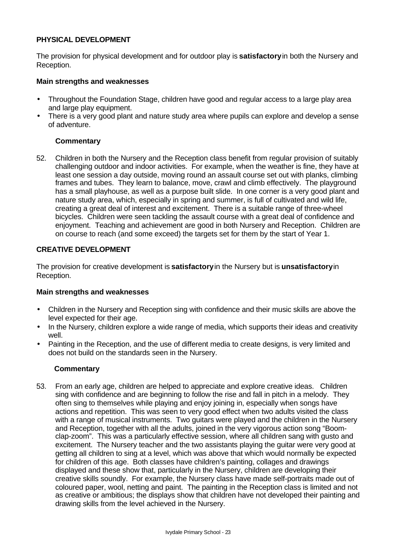#### **PHYSICAL DEVELOPMENT**

The provision for physical development and for outdoor play is **satisfactory** in both the Nursery and Reception.

#### **Main strengths and weaknesses**

- Throughout the Foundation Stage, children have good and regular access to a large play area and large play equipment.
- There is a very good plant and nature study area where pupils can explore and develop a sense of adventure.

#### **Commentary**

52. Children in both the Nursery and the Reception class benefit from regular provision of suitably challenging outdoor and indoor activities. For example, when the weather is fine, they have at least one session a day outside, moving round an assault course set out with planks, climbing frames and tubes. They learn to balance, move, crawl and climb effectively. The playground has a small playhouse, as well as a purpose built slide. In one corner is a very good plant and nature study area, which, especially in spring and summer, is full of cultivated and wild life, creating a great deal of interest and excitement. There is a suitable range of three-wheel bicycles. Children were seen tackling the assault course with a great deal of confidence and enjoyment. Teaching and achievement are good in both Nursery and Reception. Children are on course to reach (and some exceed) the targets set for them by the start of Year 1.

# **CREATIVE DEVELOPMENT**

The provision for creative development is **satisfactory** in the Nursery but is **unsatisfactory** in Reception.

#### **Main strengths and weaknesses**

- Children in the Nursery and Reception sing with confidence and their music skills are above the level expected for their age.
- In the Nursery, children explore a wide range of media, which supports their ideas and creativity well.
- Painting in the Reception, and the use of different media to create designs, is very limited and does not build on the standards seen in the Nursery.

#### **Commentary**

53. From an early age, children are helped to appreciate and explore creative ideas. Children sing with confidence and are beginning to follow the rise and fall in pitch in a melody. They often sing to themselves while playing and enjoy joining in, especially when songs have actions and repetition. This was seen to very good effect when two adults visited the class with a range of musical instruments. Two guitars were played and the children in the Nursery and Reception, together with all the adults, joined in the very vigorous action song "Boomclap-zoom". This was a particularly effective session, where all children sang with gusto and excitement. The Nursery teacher and the two assistants playing the guitar were very good at getting all children to sing at a level, which was above that which would normally be expected for children of this age. Both classes have children's painting, collages and drawings displayed and these show that, particularly in the Nursery, children are developing their creative skills soundly. For example, the Nursery class have made self-portraits made out of coloured paper, wool, netting and paint. The painting in the Reception class is limited and not as creative or ambitious; the displays show that children have not developed their painting and drawing skills from the level achieved in the Nursery.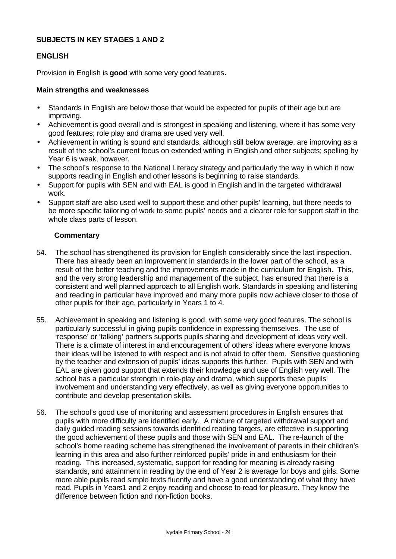## **SUBJECTS IN KEY STAGES 1 AND 2**

# **ENGLISH**

Provision in English is **good** with some very good features**.**

#### **Main strengths and weaknesses**

- Standards in English are below those that would be expected for pupils of their age but are improving.
- Achievement is good overall and is strongest in speaking and listening, where it has some very good features; role play and drama are used very well.
- Achievement in writing is sound and standards, although still below average, are improving as a result of the school's current focus on extended writing in English and other subjects; spelling by Year 6 is weak, however.
- The school's response to the National Literacy strategy and particularly the way in which it now supports reading in English and other lessons is beginning to raise standards.
- Support for pupils with SEN and with EAL is good in English and in the targeted withdrawal work.
- Support staff are also used well to support these and other pupils' learning, but there needs to be more specific tailoring of work to some pupils' needs and a clearer role for support staff in the whole class parts of lesson.

- 54. The school has strengthened its provision for English considerably since the last inspection. There has already been an improvement in standards in the lower part of the school, as a result of the better teaching and the improvements made in the curriculum for English. This, and the very strong leadership and management of the subject, has ensured that there is a consistent and well planned approach to all English work. Standards in speaking and listening and reading in particular have improved and many more pupils now achieve closer to those of other pupils for their age, particularly in Years 1 to 4.
- 55. Achievement in speaking and listening is good, with some very good features. The school is particularly successful in giving pupils confidence in expressing themselves. The use of 'response' or 'talking' partners supports pupils sharing and development of ideas very well. There is a climate of interest in and encouragement of others' ideas where everyone knows their ideas will be listened to with respect and is not afraid to offer them. Sensitive questioning by the teacher and extension of pupils' ideas supports this further. Pupils with SEN and with EAL are given good support that extends their knowledge and use of English very well. The school has a particular strength in role-play and drama, which supports these pupils' involvement and understanding very effectively, as well as giving everyone opportunities to contribute and develop presentation skills.
- 56. The school's good use of monitoring and assessment procedures in English ensures that pupils with more difficulty are identified early. A mixture of targeted withdrawal support and daily guided reading sessions towards identified reading targets, are effective in supporting the good achievement of these pupils and those with SEN and EAL. The re-launch of the school's home reading scheme has strengthened the involvement of parents in their children's learning in this area and also further reinforced pupils' pride in and enthusiasm for their reading. This increased, systematic, support for reading for meaning is already raising standards, and attainment in reading by the end of Year 2 is average for boys and girls. Some more able pupils read simple texts fluently and have a good understanding of what they have read. Pupils in Years1 and 2 enjoy reading and choose to read for pleasure. They know the difference between fiction and non-fiction books.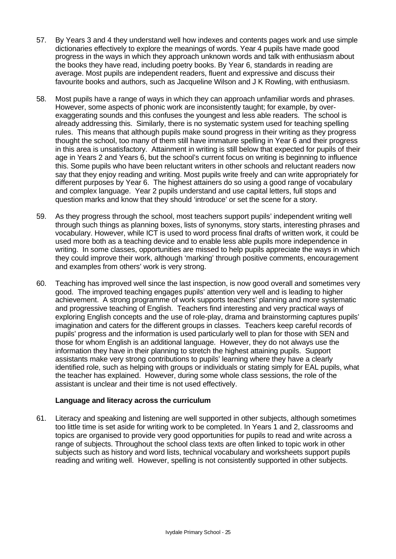- 57. By Years 3 and 4 they understand well how indexes and contents pages work and use simple dictionaries effectively to explore the meanings of words. Year 4 pupils have made good progress in the ways in which they approach unknown words and talk with enthusiasm about the books they have read, including poetry books. By Year 6, standards in reading are average. Most pupils are independent readers, fluent and expressive and discuss their favourite books and authors, such as Jacqueline Wilson and J K Rowling, with enthusiasm.
- 58. Most pupils have a range of ways in which they can approach unfamiliar words and phrases. However, some aspects of phonic work are inconsistently taught; for example, by overexaggerating sounds and this confuses the youngest and less able readers. The school is already addressing this. Similarly, there is no systematic system used for teaching spelling rules. This means that although pupils make sound progress in their writing as they progress thought the school, too many of them still have immature spelling in Year 6 and their progress in this area is unsatisfactory. Attainment in writing is still below that expected for pupils of their age in Years 2 and Years 6, but the school's current focus on writing is beginning to influence this. Some pupils who have been reluctant writers in other schools and reluctant readers now say that they enjoy reading and writing. Most pupils write freely and can write appropriately for different purposes by Year 6. The highest attainers do so using a good range of vocabulary and complex language. Year 2 pupils understand and use capital letters, full stops and question marks and know that they should 'introduce' or set the scene for a story.
- 59. As they progress through the school, most teachers support pupils' independent writing well through such things as planning boxes, lists of synonyms, story starts, interesting phrases and vocabulary. However, while ICT is used to word process final drafts of written work, it could be used more both as a teaching device and to enable less able pupils more independence in writing. In some classes, opportunities are missed to help pupils appreciate the ways in which they could improve their work, although 'marking' through positive comments, encouragement and examples from others' work is very strong.
- 60. Teaching has improved well since the last inspection, is now good overall and sometimes very good. The improved teaching engages pupils' attention very well and is leading to higher achievement. A strong programme of work supports teachers' planning and more systematic and progressive teaching of English. Teachers find interesting and very practical ways of exploring English concepts and the use of role-play, drama and brainstorming captures pupils' imagination and caters for the different groups in classes. Teachers keep careful records of pupils' progress and the information is used particularly well to plan for those with SEN and those for whom English is an additional language. However, they do not always use the information they have in their planning to stretch the highest attaining pupils. Support assistants make very strong contributions to pupils' learning where they have a clearly identified role, such as helping with groups or individuals or stating simply for EAL pupils, what the teacher has explained. However, during some whole class sessions, the role of the assistant is unclear and their time is not used effectively.

#### **Language and literacy across the curriculum**

61. Literacy and speaking and listening are well supported in other subjects, although sometimes too little time is set aside for writing work to be completed. In Years 1 and 2, classrooms and topics are organised to provide very good opportunities for pupils to read and write across a range of subjects. Throughout the school class texts are often linked to topic work in other subjects such as history and word lists, technical vocabulary and worksheets support pupils reading and writing well. However, spelling is not consistently supported in other subjects.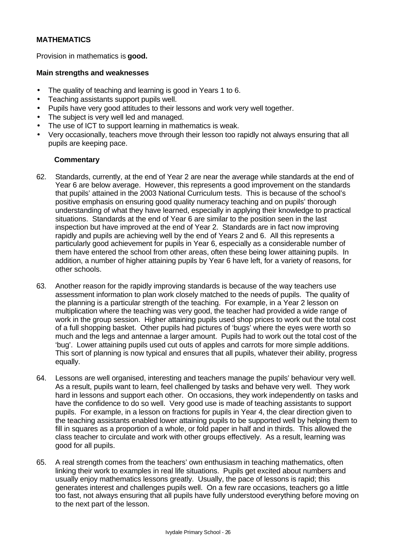# **MATHEMATICS**

Provision in mathematics is **good.**

#### **Main strengths and weaknesses**

- The quality of teaching and learning is good in Years 1 to 6.
- Teaching assistants support pupils well.
- Pupils have very good attitudes to their lessons and work very well together.
- The subject is very well led and managed.
- The use of ICT to support learning in mathematics is weak.
- Very occasionally, teachers move through their lesson too rapidly not always ensuring that all pupils are keeping pace.

- 62. Standards, currently, at the end of Year 2 are near the average while standards at the end of Year 6 are below average. However, this represents a good improvement on the standards that pupils' attained in the 2003 National Curriculum tests. This is because of the school's positive emphasis on ensuring good quality numeracy teaching and on pupils' thorough understanding of what they have learned, especially in applying their knowledge to practical situations. Standards at the end of Year 6 are similar to the position seen in the last inspection but have improved at the end of Year 2. Standards are in fact now improving rapidly and pupils are achieving well by the end of Years 2 and 6. All this represents a particularly good achievement for pupils in Year 6, especially as a considerable number of them have entered the school from other areas, often these being lower attaining pupils. In addition, a number of higher attaining pupils by Year 6 have left, for a variety of reasons, for other schools.
- 63. Another reason for the rapidly improving standards is because of the way teachers use assessment information to plan work closely matched to the needs of pupils. The quality of the planning is a particular strength of the teaching. For example, in a Year 2 lesson on multiplication where the teaching was very good, the teacher had provided a wide range of work in the group session. Higher attaining pupils used shop prices to work out the total cost of a full shopping basket. Other pupils had pictures of 'bugs' where the eyes were worth so much and the legs and antennae a larger amount. Pupils had to work out the total cost of the 'bug'. Lower attaining pupils used cut outs of apples and carrots for more simple additions. This sort of planning is now typical and ensures that all pupils, whatever their ability, progress equally.
- 64. Lessons are well organised, interesting and teachers manage the pupils' behaviour very well. As a result, pupils want to learn, feel challenged by tasks and behave very well. They work hard in lessons and support each other. On occasions, they work independently on tasks and have the confidence to do so well. Very good use is made of teaching assistants to support pupils. For example, in a lesson on fractions for pupils in Year 4, the clear direction given to the teaching assistants enabled lower attaining pupils to be supported well by helping them to fill in squares as a proportion of a whole, or fold paper in half and in thirds. This allowed the class teacher to circulate and work with other groups effectively. As a result, learning was good for all pupils.
- 65. A real strength comes from the teachers' own enthusiasm in teaching mathematics, often linking their work to examples in real life situations. Pupils get excited about numbers and usually enjoy mathematics lessons greatly. Usually, the pace of lessons is rapid; this generates interest and challenges pupils well. On a few rare occasions, teachers go a little too fast, not always ensuring that all pupils have fully understood everything before moving on to the next part of the lesson.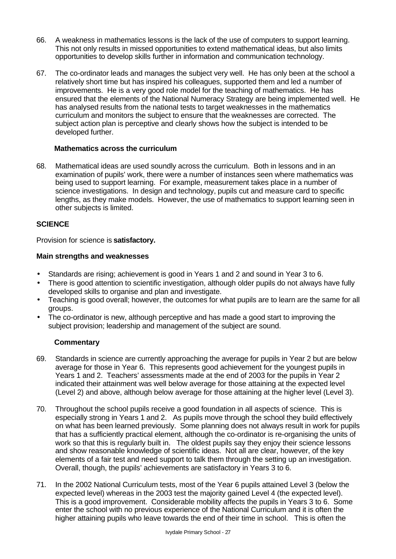- 66. A weakness in mathematics lessons is the lack of the use of computers to support learning. This not only results in missed opportunities to extend mathematical ideas, but also limits opportunities to develop skills further in information and communication technology.
- 67. The co-ordinator leads and manages the subject very well. He has only been at the school a relatively short time but has inspired his colleagues, supported them and led a number of improvements. He is a very good role model for the teaching of mathematics. He has ensured that the elements of the National Numeracy Strategy are being implemented well. He has analysed results from the national tests to target weaknesses in the mathematics curriculum and monitors the subject to ensure that the weaknesses are corrected. The subject action plan is perceptive and clearly shows how the subject is intended to be developed further.

# **Mathematics across the curriculum**

68. Mathematical ideas are used soundly across the curriculum. Both in lessons and in an examination of pupils' work, there were a number of instances seen where mathematics was being used to support learning. For example, measurement takes place in a number of science investigations. In design and technology, pupils cut and measure card to specific lengths, as they make models. However, the use of mathematics to support learning seen in other subjects is limited.

# **SCIENCE**

Provision for science is **satisfactory.**

# **Main strengths and weaknesses**

- Standards are rising; achievement is good in Years 1 and 2 and sound in Year 3 to 6.
- There is good attention to scientific investigation, although older pupils do not always have fully developed skills to organise and plan and investigate.
- Teaching is good overall; however, the outcomes for what pupils are to learn are the same for all groups.
- The co-ordinator is new, although perceptive and has made a good start to improving the subject provision; leadership and management of the subject are sound.

- 69. Standards in science are currently approaching the average for pupils in Year 2 but are below average for those in Year 6. This represents good achievement for the youngest pupils in Years 1 and 2. Teachers' assessments made at the end of 2003 for the pupils in Year 2 indicated their attainment was well below average for those attaining at the expected level (Level 2) and above, although below average for those attaining at the higher level (Level 3).
- 70. Throughout the school pupils receive a good foundation in all aspects of science. This is especially strong in Years 1 and 2. As pupils move through the school they build effectively on what has been learned previously. Some planning does not always result in work for pupils that has a sufficiently practical element, although the co-ordinator is re-organising the units of work so that this is regularly built in. The oldest pupils say they enjoy their science lessons and show reasonable knowledge of scientific ideas. Not all are clear, however, of the key elements of a fair test and need support to talk them through the setting up an investigation. Overall, though, the pupils' achievements are satisfactory in Years 3 to 6.
- 71. In the 2002 National Curriculum tests, most of the Year 6 pupils attained Level 3 (below the expected level) whereas in the 2003 test the majority gained Level 4 (the expected level). This is a good improvement. Considerable mobility affects the pupils in Years 3 to 6. Some enter the school with no previous experience of the National Curriculum and it is often the higher attaining pupils who leave towards the end of their time in school. This is often the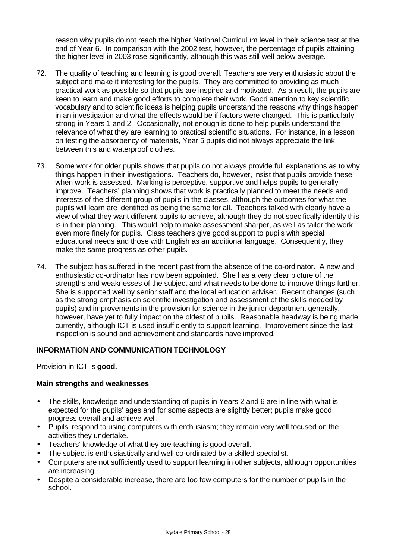reason why pupils do not reach the higher National Curriculum level in their science test at the end of Year 6. In comparison with the 2002 test, however, the percentage of pupils attaining the higher level in 2003 rose significantly, although this was still well below average.

- 72. The quality of teaching and learning is good overall. Teachers are very enthusiastic about the subject and make it interesting for the pupils. They are committed to providing as much practical work as possible so that pupils are inspired and motivated. As a result, the pupils are keen to learn and make good efforts to complete their work. Good attention to key scientific vocabulary and to scientific ideas is helping pupils understand the reasons why things happen in an investigation and what the effects would be if factors were changed. This is particularly strong in Years 1 and 2. Occasionally, not enough is done to help pupils understand the relevance of what they are learning to practical scientific situations. For instance, in a lesson on testing the absorbency of materials, Year 5 pupils did not always appreciate the link between this and waterproof clothes.
- 73. Some work for older pupils shows that pupils do not always provide full explanations as to why things happen in their investigations. Teachers do, however, insist that pupils provide these when work is assessed. Marking is perceptive, supportive and helps pupils to generally improve. Teachers' planning shows that work is practically planned to meet the needs and interests of the different group of pupils in the classes, although the outcomes for what the pupils will learn are identified as being the same for all. Teachers talked with clearly have a view of what they want different pupils to achieve, although they do not specifically identify this is in their planning. This would help to make assessment sharper, as well as tailor the work even more finely for pupils. Class teachers give good support to pupils with special educational needs and those with English as an additional language. Consequently, they make the same progress as other pupils.
- 74. The subject has suffered in the recent past from the absence of the co-ordinator. A new and enthusiastic co-ordinator has now been appointed. She has a very clear picture of the strengths and weaknesses of the subject and what needs to be done to improve things further. She is supported well by senior staff and the local education adviser. Recent changes (such as the strong emphasis on scientific investigation and assessment of the skills needed by pupils) and improvements in the provision for science in the junior department generally, however, have yet to fully impact on the oldest of pupils. Reasonable headway is being made currently, although ICT is used insufficiently to support learning. Improvement since the last inspection is sound and achievement and standards have improved.

#### **INFORMATION AND COMMUNICATION TECHNOLOGY**

Provision in ICT is **good.**

#### **Main strengths and weaknesses**

- The skills, knowledge and understanding of pupils in Years 2 and 6 are in line with what is expected for the pupils' ages and for some aspects are slightly better; pupils make good progress overall and achieve well.
- Pupils' respond to using computers with enthusiasm; they remain very well focused on the activities they undertake.
- Teachers' knowledge of what they are teaching is good overall.
- The subject is enthusiastically and well co-ordinated by a skilled specialist.
- Computers are not sufficiently used to support learning in other subjects, although opportunities are increasing.
- Despite a considerable increase, there are too few computers for the number of pupils in the school.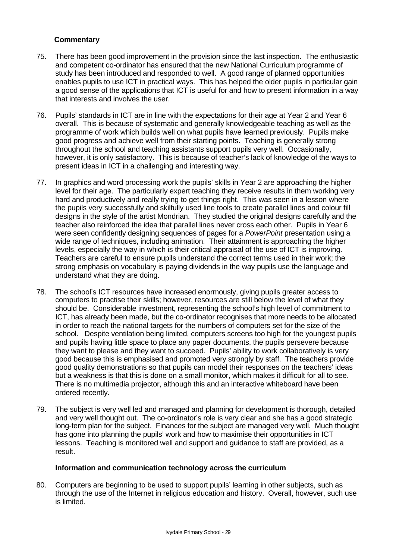# **Commentary**

- 75. There has been good improvement in the provision since the last inspection. The enthusiastic and competent co-ordinator has ensured that the new National Curriculum programme of study has been introduced and responded to well. A good range of planned opportunities enables pupils to use ICT in practical ways. This has helped the older pupils in particular gain a good sense of the applications that ICT is useful for and how to present information in a way that interests and involves the user.
- 76. Pupils' standards in ICT are in line with the expectations for their age at Year 2 and Year 6 overall. This is because of systematic and generally knowledgeable teaching as well as the programme of work which builds well on what pupils have learned previously. Pupils make good progress and achieve well from their starting points. Teaching is generally strong throughout the school and teaching assistants support pupils very well. Occasionally, however, it is only satisfactory. This is because of teacher's lack of knowledge of the ways to present ideas in ICT in a challenging and interesting way.
- 77. In graphics and word processing work the pupils' skills in Year 2 are approaching the higher level for their age. The particularly expert teaching they receive results in them working very hard and productively and really trying to get things right. This was seen in a lesson where the pupils very successfully and skilfully used line tools to create parallel lines and colour fill designs in the style of the artist Mondrian. They studied the original designs carefully and the teacher also reinforced the idea that parallel lines never cross each other. Pupils in Year 6 were seen confidently designing sequences of pages for a *PowerPoint* presentation using a wide range of techniques, including animation. Their attainment is approaching the higher levels, especially the way in which is their critical appraisal of the use of ICT is improving. Teachers are careful to ensure pupils understand the correct terms used in their work; the strong emphasis on vocabulary is paying dividends in the way pupils use the language and understand what they are doing.
- 78. The school's ICT resources have increased enormously, giving pupils greater access to computers to practise their skills; however, resources are still below the level of what they should be. Considerable investment, representing the school's high level of commitment to ICT, has already been made, but the co-ordinator recognises that more needs to be allocated in order to reach the national targets for the numbers of computers set for the size of the school. Despite ventilation being limited, computers screens too high for the youngest pupils and pupils having little space to place any paper documents, the pupils persevere because they want to please and they want to succeed. Pupils' ability to work collaboratively is very good because this is emphasised and promoted very strongly by staff. The teachers provide good quality demonstrations so that pupils can model their responses on the teachers' ideas but a weakness is that this is done on a small monitor, which makes it difficult for all to see. There is no multimedia projector, although this and an interactive whiteboard have been ordered recently.
- 79. The subject is very well led and managed and planning for development is thorough, detailed and very well thought out. The co-ordinator's role is very clear and she has a good strategic long-term plan for the subject. Finances for the subject are managed very well. Much thought has gone into planning the pupils' work and how to maximise their opportunities in ICT lessons. Teaching is monitored well and support and guidance to staff are provided, as a result.

#### **Information and communication technology across the curriculum**

80. Computers are beginning to be used to support pupils' learning in other subjects, such as through the use of the Internet in religious education and history. Overall, however, such use is limited.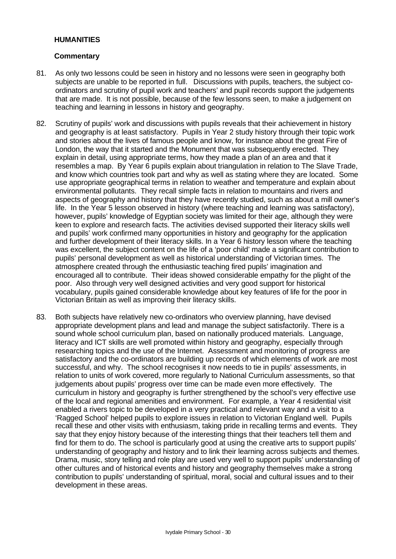#### **HUMANITIES**

- 81. As only two lessons could be seen in history and no lessons were seen in geography both subjects are unable to be reported in full. Discussions with pupils, teachers, the subject coordinators and scrutiny of pupil work and teachers' and pupil records support the judgements that are made. It is not possible, because of the few lessons seen, to make a judgement on teaching and learning in lessons in history and geography.
- 82. Scrutiny of pupils' work and discussions with pupils reveals that their achievement in history and geography is at least satisfactory. Pupils in Year 2 study history through their topic work and stories about the lives of famous people and know, for instance about the great Fire of London, the way that it started and the Monument that was subsequently erected. They explain in detail, using appropriate terms, how they made a plan of an area and that it resembles a map. By Year 6 pupils explain about triangulation in relation to The Slave Trade, and know which countries took part and why as well as stating where they are located. Some use appropriate geographical terms in relation to weather and temperature and explain about environmental pollutants. They recall simple facts in relation to mountains and rivers and aspects of geography and history that they have recently studied, such as about a mill owner's life. In the Year 5 lesson observed in history (where teaching and learning was satisfactory), however, pupils' knowledge of Egyptian society was limited for their age, although they were keen to explore and research facts. The activities devised supported their literacy skills well and pupils' work confirmed many opportunities in history and geography for the application and further development of their literacy skills. In a Year 6 history lesson where the teaching was excellent, the subject content on the life of a 'poor child' made a significant contribution to pupils' personal development as well as historical understanding of Victorian times. The atmosphere created through the enthusiastic teaching fired pupils' imagination and encouraged all to contribute. Their ideas showed considerable empathy for the plight of the poor. Also through very well designed activities and very good support for historical vocabulary, pupils gained considerable knowledge about key features of life for the poor in Victorian Britain as well as improving their literacy skills.
- 83. Both subjects have relatively new co-ordinators who overview planning, have devised appropriate development plans and lead and manage the subject satisfactorily. There is a sound whole school curriculum plan, based on nationally produced materials. Language, literacy and ICT skills are well promoted within history and geography, especially through researching topics and the use of the Internet. Assessment and monitoring of progress are satisfactory and the co-ordinators are building up records of which elements of work are most successful, and why. The school recognises it now needs to tie in pupils' assessments, in relation to units of work covered, more regularly to National Curriculum assessments, so that judgements about pupils' progress over time can be made even more effectively. The curriculum in history and geography is further strengthened by the school's very effective use of the local and regional amenities and environment. For example, a Year 4 residential visit enabled a rivers topic to be developed in a very practical and relevant way and a visit to a 'Ragged School' helped pupils to explore issues in relation to Victorian England well. Pupils recall these and other visits with enthusiasm, taking pride in recalling terms and events. They say that they enjoy history because of the interesting things that their teachers tell them and find for them to do. The school is particularly good at using the creative arts to support pupils' understanding of geography and history and to link their learning across subjects and themes. Drama, music, story telling and role play are used very well to support pupils' understanding of other cultures and of historical events and history and geography themselves make a strong contribution to pupils' understanding of spiritual, moral, social and cultural issues and to their development in these areas.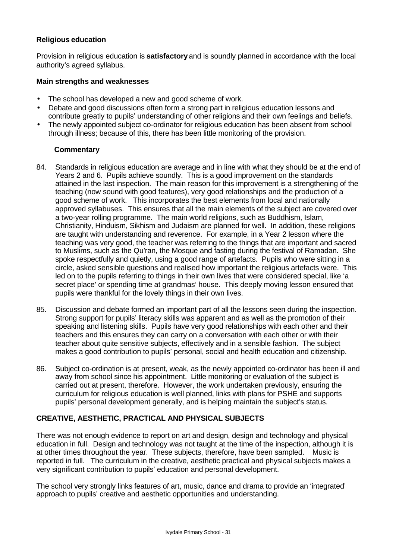# **Religious education**

Provision in religious education is **satisfactory** and is soundly planned in accordance with the local authority's agreed syllabus.

#### **Main strengths and weaknesses**

- The school has developed a new and good scheme of work.
- Debate and good discussions often form a strong part in religious education lessons and contribute greatly to pupils' understanding of other religions and their own feelings and beliefs.
- The newly appointed subject co-ordinator for religious education has been absent from school through illness; because of this, there has been little monitoring of the provision.

# **Commentary**

- 84. Standards in religious education are average and in line with what they should be at the end of Years 2 and 6. Pupils achieve soundly. This is a good improvement on the standards attained in the last inspection. The main reason for this improvement is a strengthening of the teaching (now sound with good features), very good relationships and the production of a good scheme of work. This incorporates the best elements from local and nationally approved syllabuses. This ensures that all the main elements of the subject are covered over a two-year rolling programme. The main world religions, such as Buddhism, Islam, Christianity, Hinduism, Sikhism and Judaism are planned for well. In addition, these religions are taught with understanding and reverence. For example, in a Year 2 lesson where the teaching was very good, the teacher was referring to the things that are important and sacred to Muslims, such as the Qu'ran, the Mosque and fasting during the festival of Ramadan. She spoke respectfully and quietly, using a good range of artefacts. Pupils who were sitting in a circle, asked sensible questions and realised how important the religious artefacts were. This led on to the pupils referring to things in their own lives that were considered special, like 'a secret place' or spending time at grandmas' house. This deeply moving lesson ensured that pupils were thankful for the lovely things in their own lives.
- 85. Discussion and debate formed an important part of all the lessons seen during the inspection. Strong support for pupils' literacy skills was apparent and as well as the promotion of their speaking and listening skills. Pupils have very good relationships with each other and their teachers and this ensures they can carry on a conversation with each other or with their teacher about quite sensitive subjects, effectively and in a sensible fashion. The subject makes a good contribution to pupils' personal, social and health education and citizenship.
- 86. Subject co-ordination is at present, weak, as the newly appointed co-ordinator has been ill and away from school since his appointment. Little monitoring or evaluation of the subject is carried out at present, therefore. However, the work undertaken previously, ensuring the curriculum for religious education is well planned, links with plans for PSHE and supports pupils' personal development generally, and is helping maintain the subject's status.

# **CREATIVE, AESTHETIC, PRACTICAL AND PHYSICAL SUBJECTS**

There was not enough evidence to report on art and design, design and technology and physical education in full. Design and technology was not taught at the time of the inspection, although it is at other times throughout the year. These subjects, therefore, have been sampled. Music is reported in full. The curriculum in the creative, aesthetic practical and physical subjects makes a very significant contribution to pupils' education and personal development.

The school very strongly links features of art, music, dance and drama to provide an 'integrated' approach to pupils' creative and aesthetic opportunities and understanding.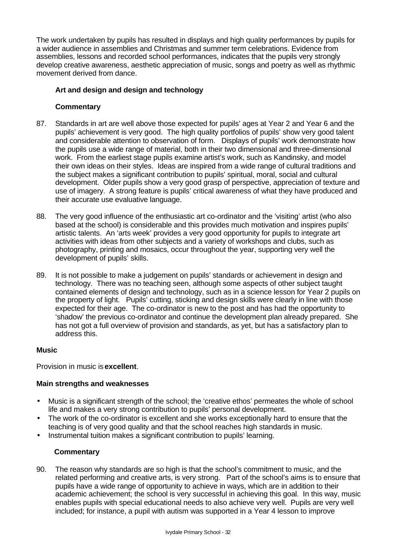The work undertaken by pupils has resulted in displays and high quality performances by pupils for a wider audience in assemblies and Christmas and summer term celebrations. Evidence from assemblies, lessons and recorded school performances, indicates that the pupils very strongly develop creative awareness, aesthetic appreciation of music, songs and poetry as well as rhythmic movement derived from dance.

# **Art and design and design and technology**

# **Commentary**

- 87. Standards in art are well above those expected for pupils' ages at Year 2 and Year 6 and the pupils' achievement is very good. The high quality portfolios of pupils' show very good talent and considerable attention to observation of form. Displays of pupils' work demonstrate how the pupils use a wide range of material, both in their two dimensional and three-dimensional work. From the earliest stage pupils examine artist's work, such as Kandinsky, and model their own ideas on their styles. Ideas are inspired from a wide range of cultural traditions and the subject makes a significant contribution to pupils' spiritual, moral, social and cultural development. Older pupils show a very good grasp of perspective, appreciation of texture and use of imagery. A strong feature is pupils' critical awareness of what they have produced and their accurate use evaluative language.
- 88. The very good influence of the enthusiastic art co-ordinator and the 'visiting' artist (who also based at the school) is considerable and this provides much motivation and inspires pupils' artistic talents. An 'arts week' provides a very good opportunity for pupils to integrate art activities with ideas from other subjects and a variety of workshops and clubs, such as photography, printing and mosaics, occur throughout the year, supporting very well the development of pupils' skills.
- 89. It is not possible to make a judgement on pupils' standards or achievement in design and technology. There was no teaching seen, although some aspects of other subject taught contained elements of design and technology, such as in a science lesson for Year 2 pupils on the property of light. Pupils' cutting, sticking and design skills were clearly in line with those expected for their age. The co-ordinator is new to the post and has had the opportunity to 'shadow' the previous co-ordinator and continue the development plan already prepared. She has not got a full overview of provision and standards, as yet, but has a satisfactory plan to address this.

#### **Music**

Provision in music is **excellent**.

#### **Main strengths and weaknesses**

- Music is a significant strength of the school; the 'creative ethos' permeates the whole of school life and makes a very strong contribution to pupils' personal development.
- The work of the co-ordinator is excellent and she works exceptionally hard to ensure that the teaching is of very good quality and that the school reaches high standards in music.
- Instrumental tuition makes a significant contribution to pupils' learning.

#### **Commentary**

90. The reason why standards are so high is that the school's commitment to music, and the related performing and creative arts, is very strong. Part of the school's aims is to ensure that pupils have a wide range of opportunity to achieve in ways, which are in addition to their academic achievement; the school is very successful in achieving this goal. In this way, music enables pupils with special educational needs to also achieve very well. Pupils are very well included; for instance, a pupil with autism was supported in a Year 4 lesson to improve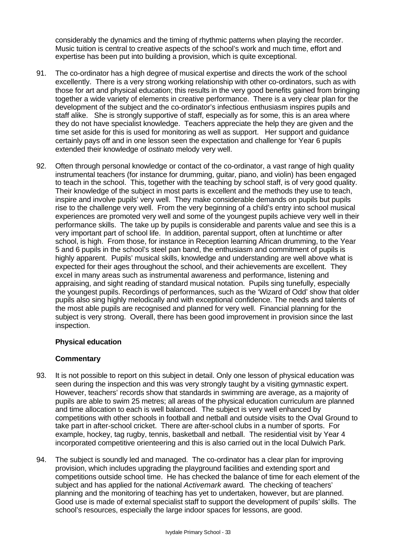considerably the dynamics and the timing of rhythmic patterns when playing the recorder. Music tuition is central to creative aspects of the school's work and much time, effort and expertise has been put into building a provision, which is quite exceptional.

- 91. The co-ordinator has a high degree of musical expertise and directs the work of the school excellently. There is a very strong working relationship with other co-ordinators, such as with those for art and physical education; this results in the very good benefits gained from bringing together a wide variety of elements in creative performance. There is a very clear plan for the development of the subject and the co-ordinator's infectious enthusiasm inspires pupils and staff alike. She is strongly supportive of staff, especially as for some, this is an area where they do not have specialist knowledge. Teachers appreciate the help they are given and the time set aside for this is used for monitoring as well as support. Her support and guidance certainly pays off and in one lesson seen the expectation and challenge for Year 6 pupils extended their knowledge of *ostinato* melody very well.
- 92. Often through personal knowledge or contact of the co-ordinator, a vast range of high quality instrumental teachers (for instance for drumming, guitar, piano, and violin) has been engaged to teach in the school. This, together with the teaching by school staff, is of very good quality. Their knowledge of the subject in most parts is excellent and the methods they use to teach, inspire and involve pupils' very well. They make considerable demands on pupils but pupils rise to the challenge very well. From the very beginning of a child's entry into school musical experiences are promoted very well and some of the youngest pupils achieve very well in their performance skills. The take up by pupils is considerable and parents value and see this is a very important part of school life. In addition, parental support, often at lunchtime or after school, is high. From those, for instance in Reception learning African drumming, to the Year 5 and 6 pupils in the school's steel pan band, the enthusiasm and commitment of pupils is highly apparent. Pupils' musical skills, knowledge and understanding are well above what is expected for their ages throughout the school, and their achievements are excellent. They excel in many areas such as instrumental awareness and performance, listening and appraising, and sight reading of standard musical notation. Pupils sing tunefully, especially the youngest pupils. Recordings of performances, such as the 'Wizard of Odd' show that older pupils also sing highly melodically and with exceptional confidence. The needs and talents of the most able pupils are recognised and planned for very well. Financial planning for the subject is very strong. Overall, there has been good improvement in provision since the last inspection.

# **Physical education**

- 93. It is not possible to report on this subject in detail. Only one lesson of physical education was seen during the inspection and this was very strongly taught by a visiting gymnastic expert. However, teachers' records show that standards in swimming are average, as a majority of pupils are able to swim 25 metres; all areas of the physical education curriculum are planned and time allocation to each is well balanced. The subject is very well enhanced by competitions with other schools in football and netball and outside visits to the Oval Ground to take part in after-school cricket. There are after-school clubs in a number of sports. For example, hockey, tag rugby, tennis, basketball and netball. The residential visit by Year 4 incorporated competitive orienteering and this is also carried out in the local Dulwich Park.
- 94. The subject is soundly led and managed. The co-ordinator has a clear plan for improving provision, which includes upgrading the playground facilities and extending sport and competitions outside school time. He has checked the balance of time for each element of the subject and has applied for the national *Activemark* award*.* The checking of teachers' planning and the monitoring of teaching has yet to undertaken, however, but are planned. Good use is made of external specialist staff to support the development of pupils' skills. The school's resources, especially the large indoor spaces for lessons, are good.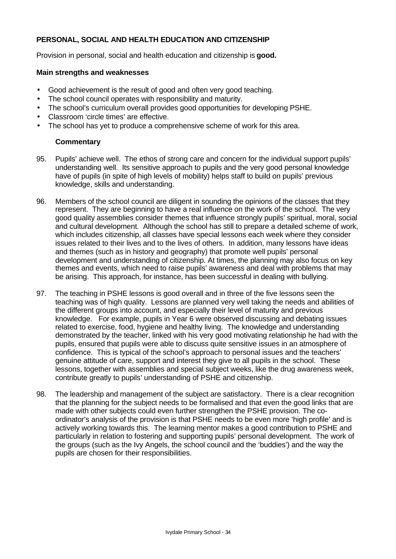# **PERSONAL, SOCIAL AND HEALTH EDUCATION AND CITIZENSHIP**

Provision in personal, social and health education and citizenship is **good.**

#### **Main strengths and weaknesses**

- Good achievement is the result of good and often very good teaching.
- The school council operates with responsibility and maturity.
- The school's curriculum overall provides good opportunities for developing PSHE.
- Classroom 'circle times' are effective.
- The school has yet to produce a comprehensive scheme of work for this area.

- 95. Pupils' achieve well. The ethos of strong care and concern for the individual support pupils' understanding well. Its sensitive approach to pupils and the very good personal knowledge have of pupils (in spite of high levels of mobility) helps staff to build on pupils' previous knowledge, skills and understanding.
- 96. Members of the school council are diligent in sounding the opinions of the classes that they represent. They are beginning to have a real influence on the work of the school. The very good quality assemblies consider themes that influence strongly pupils' spiritual, moral, social and cultural development. Although the school has still to prepare a detailed scheme of work, which includes citizenship, all classes have special lessons each week where they consider issues related to their lives and to the lives of others. In addition, many lessons have ideas and themes (such as in history and geography) that promote well pupils' personal development and understanding of citizenship. At times, the planning may also focus on key themes and events, which need to raise pupils' awareness and deal with problems that may be arising. This approach, for instance, has been successful in dealing with bullying.
- 97. The teaching in PSHE lessons is good overall and in three of the five lessons seen the teaching was of high quality. Lessons are planned very well taking the needs and abilities of the different groups into account, and especially their level of maturity and previous knowledge. For example, pupils in Year 6 were observed discussing and debating issues related to exercise, food, hygiene and healthy living. The knowledge and understanding demonstrated by the teacher, linked with his very good motivating relationship he had with the pupils, ensured that pupils were able to discuss quite sensitive issues in an atmosphere of confidence. This is typical of the school's approach to personal issues and the teachers' genuine attitude of care, support and interest they give to all pupils in the school. These lessons, together with assemblies and special subject weeks, like the drug awareness week, contribute greatly to pupils' understanding of PSHE and citizenship.
- 98. The leadership and management of the subject are satisfactory. There is a clear recognition that the planning for the subject needs to be formalised and that even the good links that are made with other subjects could even further strengthen the PSHE provision. The coordinator's analysis of the provision is that PSHE needs to be even more 'high profile' and is actively working towards this. The learning mentor makes a good contribution to PSHE and particularly in relation to fostering and supporting pupils' personal development. The work of the groups (such as the Ivy Angels, the school council and the 'buddies') and the way the pupils are chosen for their responsibilities.